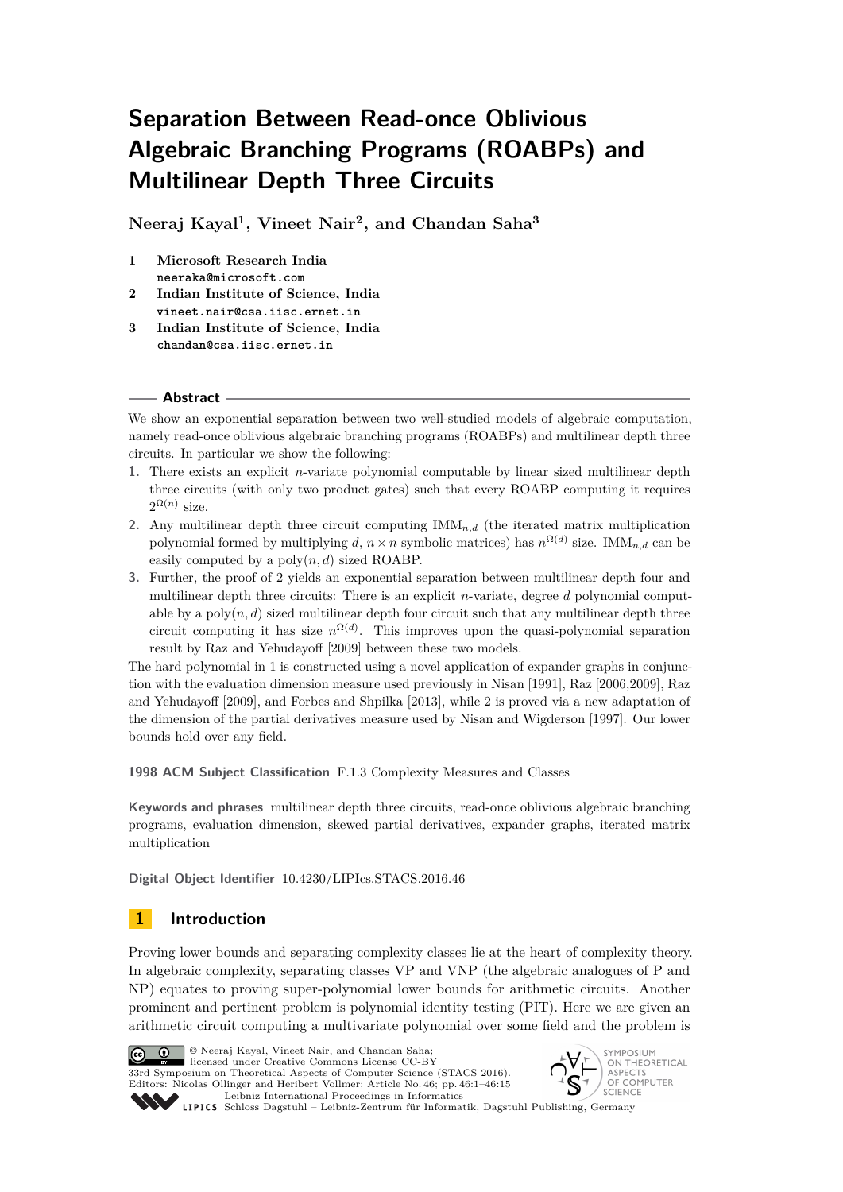# **Separation Between Read-once Oblivious Algebraic Branching Programs (ROABPs) and Multilinear Depth Three Circuits**

**Neeraj Kayal<sup>1</sup> , Vineet Nair<sup>2</sup> , and Chandan Saha<sup>3</sup>**

- **1 Microsoft Research India neeraka@microsoft.com**
- **2 Indian Institute of Science, India vineet.nair@csa.iisc.ernet.in**
- **3 Indian Institute of Science, India chandan@csa.iisc.ernet.in**

## **Abstract**

We show an exponential separation between two well-studied models of algebraic computation, namely read-once oblivious algebraic branching programs (ROABPs) and multilinear depth three circuits. In particular we show the following:

- **1.** There exists an explicit *n*-variate polynomial computable by linear sized multilinear depth three circuits (with only two product gates) such that every ROABP computing it requires  $2^{\Omega(n)}$  size.
- **2.** Any multilinear depth three circuit computing  $\text{IMM}_{n,d}$  (the iterated matrix multiplication polynomial formed by multiplying *d*,  $n \times n$  symbolic matrices) has  $n^{\Omega(d)}$  size. IMM<sub>n,d</sub> can be easily computed by a  $poly(n, d)$  sized ROABP.
- **3.** Further, the proof of 2 yields an exponential separation between multilinear depth four and multilinear depth three circuits: There is an explicit *n*-variate, degree *d* polynomial computable by a  $poly(n, d)$  sized multilinear depth four circuit such that any multilinear depth three circuit computing it has size  $n^{\Omega(d)}$ . This improves upon the quasi-polynomial separation result by Raz and Yehudayoff [2009] between these two models.

The hard polynomial in 1 is constructed using a novel application of expander graphs in conjunction with the evaluation dimension measure used previously in Nisan [1991], Raz [2006,2009], Raz and Yehudayoff [2009], and Forbes and Shpilka [2013], while 2 is proved via a new adaptation of the dimension of the partial derivatives measure used by Nisan and Wigderson [1997]. Our lower bounds hold over any field.

**1998 ACM Subject Classification** F.1.3 Complexity Measures and Classes

**Keywords and phrases** multilinear depth three circuits, read-once oblivious algebraic branching programs, evaluation dimension, skewed partial derivatives, expander graphs, iterated matrix multiplication

**Digital Object Identifier** [10.4230/LIPIcs.STACS.2016.46](http://dx.doi.org/10.4230/LIPIcs.STACS.2016.46)

# **1 Introduction**

Proving lower bounds and separating complexity classes lie at the heart of complexity theory. In algebraic complexity, separating classes VP and VNP (the algebraic analogues of P and NP) equates to proving super-polynomial lower bounds for arithmetic circuits. Another prominent and pertinent problem is polynomial identity testing (PIT). Here we are given an arithmetic circuit computing a multivariate polynomial over some field and the problem is



© Neeraj Kayal, Vineet Nair, and Chandan Saha; licensed under Creative Commons License CC-BY

33rd Symposium on Theoretical Aspects of Computer Science (STACS 2016). Editors: Nicolas Ollinger and Heribert Vollmer; Article No. 46; pp. 46:1–46[:15](#page-14-0) [Leibniz International Proceedings in Informatics](http://www.dagstuhl.de/lipics/)



Leibniz international Flocetulity in missimosis Dagstuhl Publishing, Germany<br>LIPICS [Schloss Dagstuhl – Leibniz-Zentrum für Informatik, Dagstuhl Publishing, Germany](http://www.dagstuhl.de)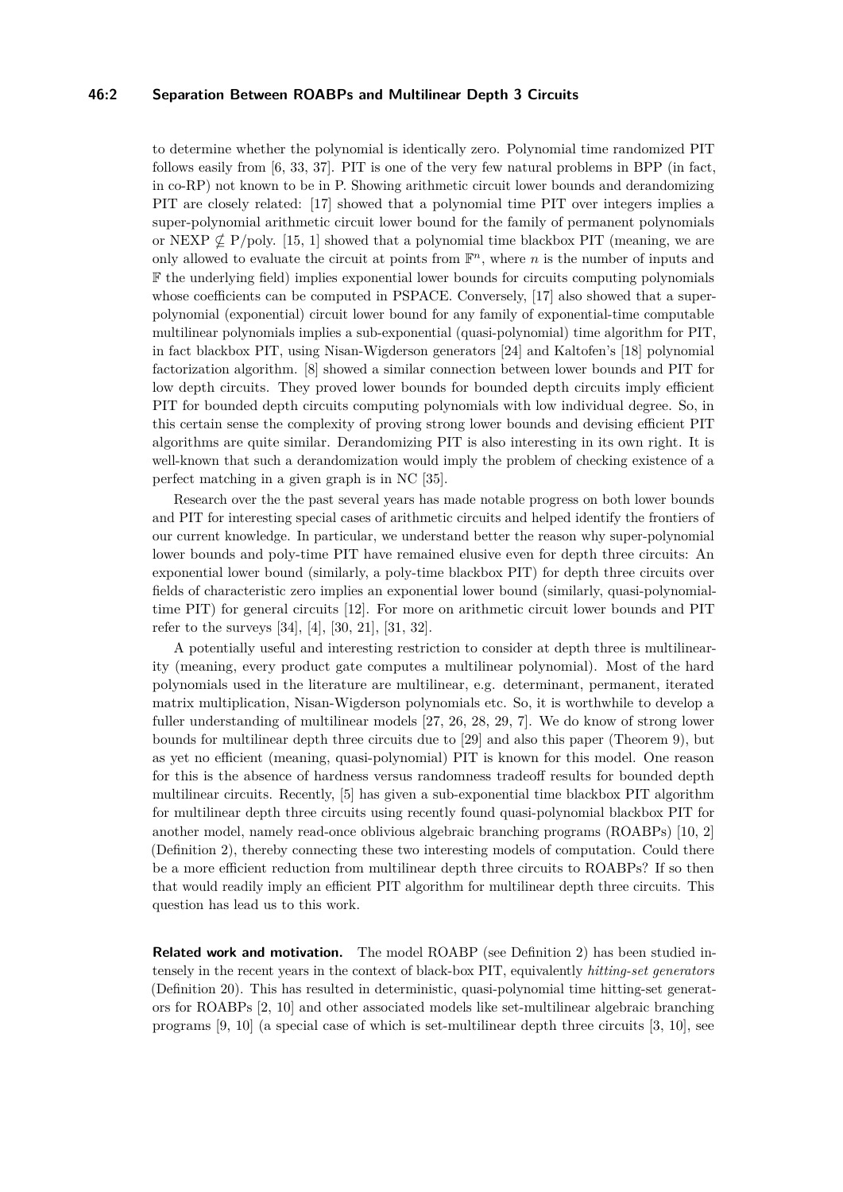#### **46:2 Separation Between ROABPs and Multilinear Depth 3 Circuits**

to determine whether the polynomial is identically zero. Polynomial time randomized PIT follows easily from [\[6,](#page-13-0) [33,](#page-14-1) [37\]](#page-14-2). PIT is one of the very few natural problems in BPP (in fact, in co-RP) not known to be in P. Showing arithmetic circuit lower bounds and derandomizing PIT are closely related: [\[17\]](#page-13-1) showed that a polynomial time PIT over integers implies a super-polynomial arithmetic circuit lower bound for the family of permanent polynomials or NEXP  $\not\subseteq$  P/poly. [\[15,](#page-13-2) [1\]](#page-12-0) showed that a polynomial time blackbox PIT (meaning, we are only allowed to evaluate the circuit at points from  $\mathbb{F}^n$ , where *n* is the number of inputs and F the underlying field) implies exponential lower bounds for circuits computing polynomials whose coefficients can be computed in PSPACE. Conversely, [\[17\]](#page-13-1) also showed that a superpolynomial (exponential) circuit lower bound for any family of exponential-time computable multilinear polynomials implies a sub-exponential (quasi-polynomial) time algorithm for PIT, in fact blackbox PIT, using Nisan-Wigderson generators [\[24\]](#page-14-3) and Kaltofen's [\[18\]](#page-13-3) polynomial factorization algorithm. [\[8\]](#page-13-4) showed a similar connection between lower bounds and PIT for low depth circuits. They proved lower bounds for bounded depth circuits imply efficient PIT for bounded depth circuits computing polynomials with low individual degree. So, in this certain sense the complexity of proving strong lower bounds and devising efficient PIT algorithms are quite similar. Derandomizing PIT is also interesting in its own right. It is well-known that such a derandomization would imply the problem of checking existence of a perfect matching in a given graph is in NC [\[35\]](#page-14-4).

Research over the the past several years has made notable progress on both lower bounds and PIT for interesting special cases of arithmetic circuits and helped identify the frontiers of our current knowledge. In particular, we understand better the reason why super-polynomial lower bounds and poly-time PIT have remained elusive even for depth three circuits: An exponential lower bound (similarly, a poly-time blackbox PIT) for depth three circuits over fields of characteristic zero implies an exponential lower bound (similarly, quasi-polynomialtime PIT) for general circuits [\[12\]](#page-13-5). For more on arithmetic circuit lower bounds and PIT refer to the surveys [\[34\]](#page-14-5), [\[4\]](#page-13-6), [\[30,](#page-14-6) [21\]](#page-14-7), [\[31,](#page-14-8) [32\]](#page-14-9).

A potentially useful and interesting restriction to consider at depth three is multilinearity (meaning, every product gate computes a multilinear polynomial). Most of the hard polynomials used in the literature are multilinear, e.g. determinant, permanent, iterated matrix multiplication, Nisan-Wigderson polynomials etc. So, it is worthwhile to develop a fuller understanding of multilinear models [\[27,](#page-14-10) [26,](#page-14-11) [28,](#page-14-12) [29,](#page-14-13) [7\]](#page-13-7). We do know of strong lower bounds for multilinear depth three circuits due to [\[29\]](#page-14-13) and also this paper (Theorem [9\)](#page-4-0), but as yet no efficient (meaning, quasi-polynomial) PIT is known for this model. One reason for this is the absence of hardness versus randomness tradeoff results for bounded depth multilinear circuits. Recently, [\[5\]](#page-13-8) has given a sub-exponential time blackbox PIT algorithm for multilinear depth three circuits using recently found quasi-polynomial blackbox PIT for another model, namely read-once oblivious algebraic branching programs (ROABPs) [\[10,](#page-13-9) [2\]](#page-12-1) (Definition [2\)](#page-3-0), thereby connecting these two interesting models of computation. Could there be a more efficient reduction from multilinear depth three circuits to ROABPs? If so then that would readily imply an efficient PIT algorithm for multilinear depth three circuits. This question has lead us to this work.

**Related work and motivation.** The model ROABP (see Definition [2\)](#page-3-0) has been studied intensely in the recent years in the context of black-box PIT, equivalently *hitting-set generators* (Definition [20\)](#page-7-0). This has resulted in deterministic, quasi-polynomial time hitting-set generators for ROABPs [\[2,](#page-12-1) [10\]](#page-13-9) and other associated models like set-multilinear algebraic branching programs [\[9,](#page-13-10) [10\]](#page-13-9) (a special case of which is set-multilinear depth three circuits [\[3,](#page-13-11) [10\]](#page-13-9), see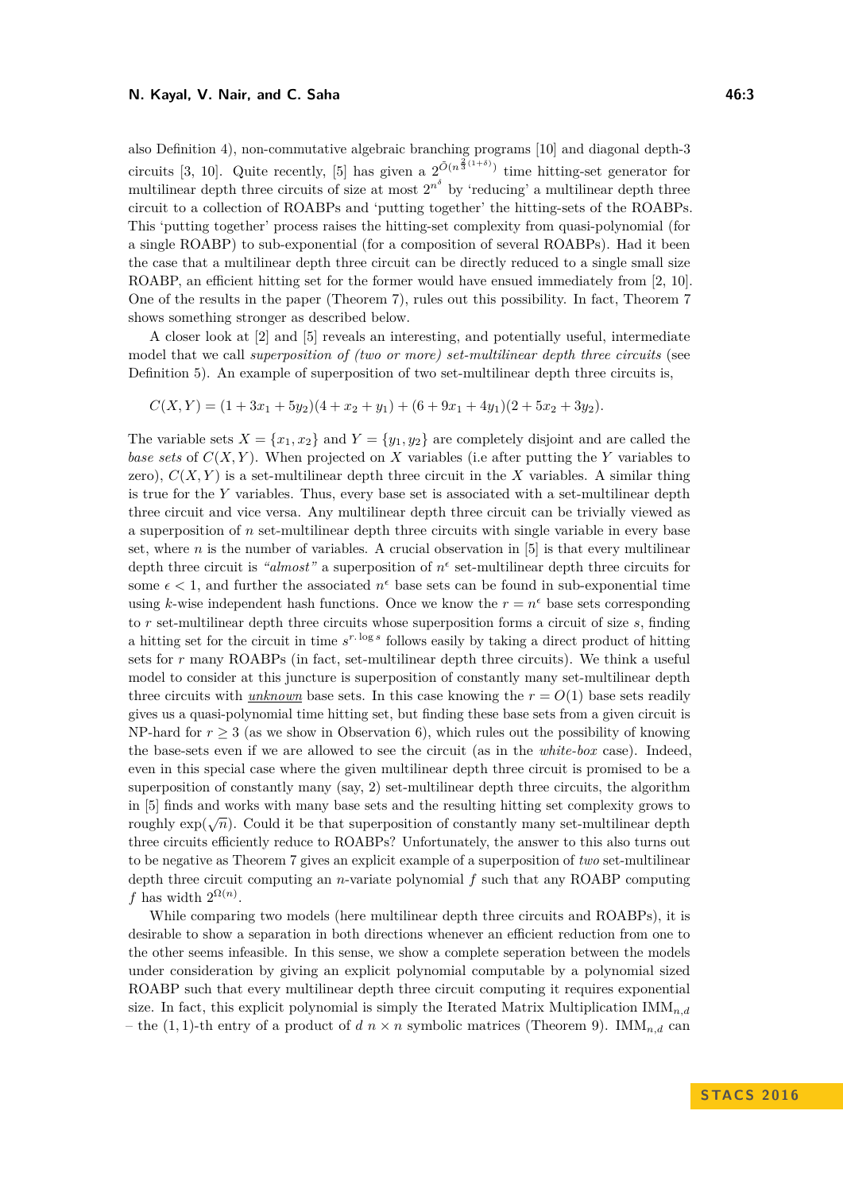also Definition [4\)](#page-4-1), non-commutative algebraic branching programs [\[10\]](#page-13-9) and diagonal depth-3 circuits [\[3,](#page-13-11) [10\]](#page-13-9). Quite recently, [\[5\]](#page-13-8) has given a  $2^{\tilde{O}(n^{\frac{2}{3}(1+\delta)})}$  time hitting-set generator for multilinear depth three circuits of size at most  $2^{n^{\delta}}$  by 'reducing' a multilinear depth three circuit to a collection of ROABPs and 'putting together' the hitting-sets of the ROABPs. This 'putting together' process raises the hitting-set complexity from quasi-polynomial (for a single ROABP) to sub-exponential (for a composition of several ROABPs). Had it been the case that a multilinear depth three circuit can be directly reduced to a single small size ROABP, an efficient hitting set for the former would have ensued immediately from [\[2,](#page-12-1) [10\]](#page-13-9). One of the results in the paper (Theorem [7\)](#page-4-2), rules out this possibility. In fact, Theorem [7](#page-4-2) shows something stronger as described below.

A closer look at [\[2\]](#page-12-1) and [\[5\]](#page-13-8) reveals an interesting, and potentially useful, intermediate model that we call *superposition of (two or more) set-multilinear depth three circuits* (see Definition [5\)](#page-4-3). An example of superposition of two set-multilinear depth three circuits is,

$$
C(X,Y) = (1+3x1+5y2)(4+x2+y1) + (6+9x1+4y1)(2+5x2+3y2).
$$

The variable sets  $X = \{x_1, x_2\}$  and  $Y = \{y_1, y_2\}$  are completely disjoint and are called the *base sets* of  $C(X, Y)$ . When projected on X variables (i.e after putting the Y variables to zero),  $C(X, Y)$  is a set-multilinear depth three circuit in the X variables. A similar thing is true for the *Y* variables. Thus, every base set is associated with a set-multilinear depth three circuit and vice versa. Any multilinear depth three circuit can be trivially viewed as a superposition of *n* set-multilinear depth three circuits with single variable in every base set, where  $n$  is the number of variables. A crucial observation in  $[5]$  is that every multilinear depth three circuit is "almost" a superposition of  $n^{\epsilon}$  set-multilinear depth three circuits for some  $\epsilon$  < 1, and further the associated  $n^{\epsilon}$  base sets can be found in sub-exponential time using *k*-wise independent hash functions. Once we know the  $r = n^{\epsilon}$  base sets corresponding to *r* set-multilinear depth three circuits whose superposition forms a circuit of size *s*, finding a hitting set for the circuit in time  $s^{r.\log s}$  follows easily by taking a direct product of hitting sets for *r* many ROABPs (in fact, set-multilinear depth three circuits). We think a useful model to consider at this juncture is superposition of constantly many set-multilinear depth three circuits with *unknown* base sets. In this case knowing the  $r = O(1)$  base sets readily gives us a quasi-polynomial time hitting set, but finding these base sets from a given circuit is NP-hard for  $r \geq 3$  (as we show in Observation [6\)](#page-4-4), which rules out the possibility of knowing the base-sets even if we are allowed to see the circuit (as in the *white-box* case). Indeed, even in this special case where the given multilinear depth three circuit is promised to be a superposition of constantly many (say, 2) set-multilinear depth three circuits, the algorithm in [\[5\]](#page-13-8) finds and works with many base sets and the resulting hitting set complexity grows to roughly  $\exp(\sqrt{n})$ . Could it be that superposition of constantly many set-multilinear depth three circuits efficiently reduce to ROABPs? Unfortunately, the answer to this also turns out to be negative as Theorem [7](#page-4-2) gives an explicit example of a superposition of *two* set-multilinear depth three circuit computing an *n*-variate polynomial *f* such that any ROABP computing *f* has width  $2^{\Omega(n)}$ .

While comparing two models (here multilinear depth three circuits and ROABPs), it is desirable to show a separation in both directions whenever an efficient reduction from one to the other seems infeasible. In this sense, we show a complete seperation between the models under consideration by giving an explicit polynomial computable by a polynomial sized ROABP such that every multilinear depth three circuit computing it requires exponential size. In fact, this explicit polynomial is simply the Iterated Matrix Multiplication IMM*n,d* – the  $(1,1)$ -th entry of a product of  $d \, n \times n$  symbolic matrices (Theorem [9\)](#page-4-0). IMM<sub>n,d</sub> can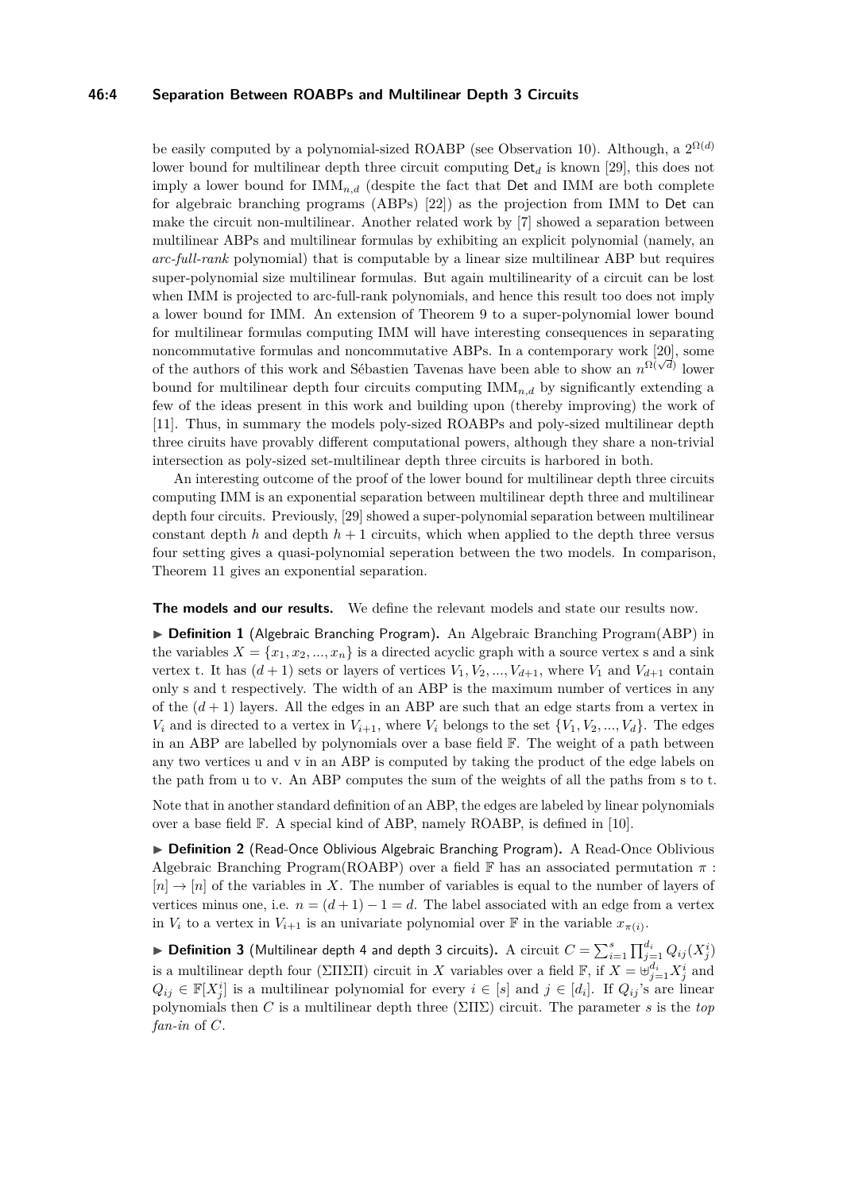#### **46:4 Separation Between ROABPs and Multilinear Depth 3 Circuits**

be easily computed by a polynomial-sized ROABP (see Observation [10\)](#page-5-0). Although, a  $2^{\Omega(d)}$ lower bound for multilinear depth three circuit computing Det*<sup>d</sup>* is known [\[29\]](#page-14-13), this does not imply a lower bound for  $IMM_{n,d}$  (despite the fact that Det and IMM are both complete for algebraic branching programs (ABPs) [\[22\]](#page-14-14)) as the projection from IMM to Det can make the circuit non-multilinear. Another related work by [\[7\]](#page-13-7) showed a separation between multilinear ABPs and multilinear formulas by exhibiting an explicit polynomial (namely, an *arc-full-rank* polynomial) that is computable by a linear size multilinear ABP but requires super-polynomial size multilinear formulas. But again multilinearity of a circuit can be lost when IMM is projected to arc-full-rank polynomials, and hence this result too does not imply a lower bound for IMM. An extension of Theorem [9](#page-4-0) to a super-polynomial lower bound for multilinear formulas computing IMM will have interesting consequences in separating noncommutative formulas and noncommutative ABPs. In a contemporary work [\[20\]](#page-14-15), some of the authors of this work and Sébastien Tavenas have been able to show an  $n^{\Omega(\sqrt{d})}$  lower bound for multilinear depth four circuits computing IMM*n,d* by significantly extending a few of the ideas present in this work and building upon (thereby improving) the work of [\[11\]](#page-13-12). Thus, in summary the models poly-sized ROABPs and poly-sized multilinear depth three ciruits have provably different computational powers, although they share a non-trivial intersection as poly-sized set-multilinear depth three circuits is harbored in both.

An interesting outcome of the proof of the lower bound for multilinear depth three circuits computing IMM is an exponential separation between multilinear depth three and multilinear depth four circuits. Previously, [\[29\]](#page-14-13) showed a super-polynomial separation between multilinear constant depth  $h$  and depth  $h + 1$  circuits, which when applied to the depth three versus four setting gives a quasi-polynomial seperation between the two models. In comparison, Theorem [11](#page-5-1) gives an exponential separation.

**The models and our results.** We define the relevant models and state our results now.

▶ **Definition 1** (Algebraic Branching Program). An Algebraic Branching Program(ABP) in the variables  $X = \{x_1, x_2, ..., x_n\}$  is a directed acyclic graph with a source vertex s and a sink vertex t. It has  $(d+1)$  sets or layers of vertices  $V_1, V_2, ..., V_{d+1}$ , where  $V_1$  and  $V_{d+1}$  contain only s and t respectively. The width of an ABP is the maximum number of vertices in any of the  $(d+1)$  layers. All the edges in an ABP are such that an edge starts from a vertex in *V*<sup>*i*</sup> and is directed to a vertex in  $V_{i+1}$ , where *V*<sup>*i*</sup> belongs to the set  $\{V_1, V_2, ..., V_d\}$ . The edges in an ABP are labelled by polynomials over a base field F. The weight of a path between any two vertices u and v in an ABP is computed by taking the product of the edge labels on the path from u to v. An ABP computes the sum of the weights of all the paths from s to t.

Note that in another standard definition of an ABP, the edges are labeled by linear polynomials over a base field F. A special kind of ABP, namely ROABP, is defined in [\[10\]](#page-13-9).

<span id="page-3-0"></span>▶ **Definition 2** (Read-Once Oblivious Algebraic Branching Program). A Read-Once Oblivious Algebraic Branching Program(ROABP) over a field F has an associated permutation *π* :  $[n] \to [n]$  of the variables in X. The number of variables is equal to the number of layers of vertices minus one, i.e.  $n = (d+1) - 1 = d$ . The label associated with an edge from a vertex in  $V_i$  to a vertex in  $V_{i+1}$  is an univariate polynomial over  $\mathbb F$  in the variable  $x_{\pi(i)}$ .

 $\blacktriangleright$  <code>Definition 3</mark> (Multilinear depth 4 and depth 3 circuits). A circuit  $C = \sum_{i=1}^s \prod_{j=1}^{d_i} Q_{ij}(X_j^i)$ </code> is a multilinear depth four (ΣΠΣΠ) circuit in *X* variables over a field  $\mathbb{F}$ , if  $X = \biguplus_{j=1}^{d_i} X_j^i$  and  $Q_{ij} \in \mathbb{F}[X_j^i]$  is a multilinear polynomial for every  $i \in [s]$  and  $j \in [d_i]$ . If  $Q_{ij}$ 's are linear polynomials then *C* is a multilinear depth three (ΣΠΣ) circuit. The parameter *s* is the *top fan-in* of *C*.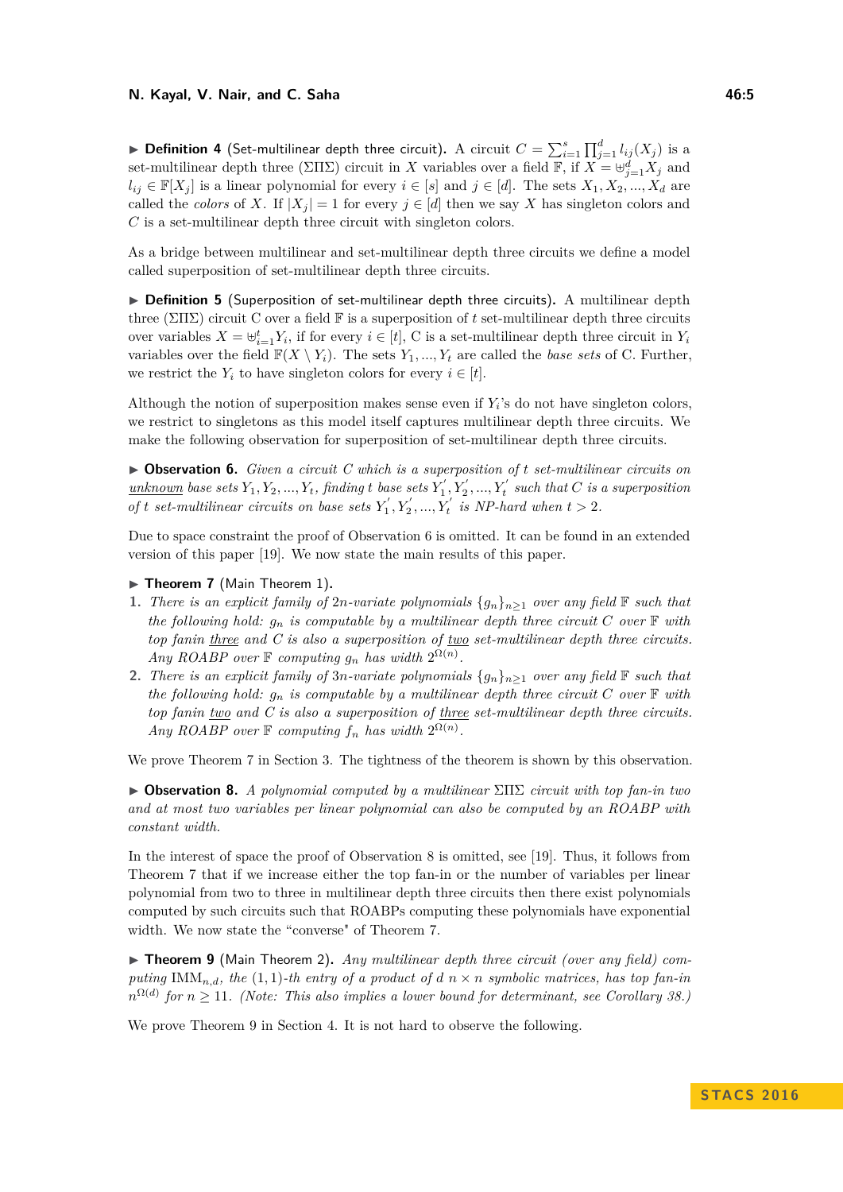<span id="page-4-1"></span> $\blacktriangleright$  <code>Definition 4</code> (Set-multilinear depth three circuit). A circuit  $C = \sum_{i=1}^s \prod_{j=1}^d l_{ij}(X_j)$  is a set-multilinear depth three (ΣΠΣ) circuit in *X* variables over a field  $\mathbb{F}$ , if  $X = \biguplus_{j=1}^{d} X_j$  and  $l_{ij} \in \mathbb{F}[X_i]$  is a linear polynomial for every  $i \in [s]$  and  $j \in [d]$ . The sets  $X_1, X_2, ..., X_d$  are called the *colors* of *X*. If  $|X_j| = 1$  for every  $j \in [d]$  then we say *X* has singleton colors and *C* is a set-multilinear depth three circuit with singleton colors.

As a bridge between multilinear and set-multilinear depth three circuits we define a model called superposition of set-multilinear depth three circuits.

<span id="page-4-3"></span>▶ Definition 5 (Superposition of set-multilinear depth three circuits). A multilinear depth three ( $\Sigma\Pi\Sigma$ ) circuit C over a field  $\mathbb F$  is a superposition of t set-multilinear depth three circuits over variables  $X = \biguplus_{i=1}^{t} Y_i$ , if for every  $i \in [t]$ , C is a set-multilinear depth three circuit in  $Y_i$ variables over the field  $\mathbb{F}(X \setminus Y_i)$ . The sets  $Y_1, ..., Y_t$  are called the *base sets* of C. Further, we restrict the  $Y_i$  to have singleton colors for every  $i \in [t]$ .

Although the notion of superposition makes sense even if  $Y_i$ 's do not have singleton colors, we restrict to singletons as this model itself captures multilinear depth three circuits. We make the following observation for superposition of set-multilinear depth three circuits.

<span id="page-4-4"></span>I **Observation 6.** *Given a circuit C which is a superposition of t set-multilinear circuits on*  $\frac{unknown}{2}$  *base sets*  $Y_1, Y_2, ..., Y_t$ , finding t base sets  $Y'_1, Y'_2, ..., Y'_t$  such that C is a superposition *of t set-multilinear circuits on base sets*  $Y'_1, Y'_2, ..., Y'_t$  *is NP-hard when*  $t > 2$ *.* 

Due to space constraint the proof of Observation [6](#page-4-4) is omitted. It can be found in an extended version of this paper [\[19\]](#page-13-13). We now state the main results of this paper.

- <span id="page-4-2"></span>▶ Theorem 7 (Main Theorem 1).
- **1.** *There is an explicit family of 2n-variate polynomials*  $\{g_n\}_{n>1}$  *over any field*  $\mathbb F$  *such that the following hold:*  $g_n$  *is computable by a multilinear depth three circuit*  $C$  *over*  $\mathbb{F}$  *with top fanin three and C is also a superposition of two set-multilinear depth three circuits. Any ROABP over*  $\mathbb{F}$  *computing*  $g_n$  *has width*  $2^{\Omega(n)}$ *.*
- **2.** *There is an explicit family of 3<i>n*-variate polynomials  $\{g_n\}_{n>1}$  over any field  $\mathbb F$  such that *the following hold:*  $g_n$  *is computable by a multilinear depth three circuit*  $C$  *over*  $\mathbb{F}$  *with top fanin two and C is also a superposition of three set-multilinear depth three circuits. Any ROABP over*  $\mathbb F$  *computing*  $f_n$  *has width*  $2^{\Omega(n)}$ *.*

We prove Theorem [7](#page-4-2) in Section [3.](#page-7-1) The tightness of the theorem is shown by this observation.

<span id="page-4-5"></span>I **Observation 8.** *A polynomial computed by a multilinear* ΣΠΣ *circuit with top fan-in two and at most two variables per linear polynomial can also be computed by an ROABP with constant width.*

In the interest of space the proof of Observation [8](#page-4-5) is omitted, see [\[19\]](#page-13-13). Thus, it follows from Theorem [7](#page-4-2) that if we increase either the top fan-in or the number of variables per linear polynomial from two to three in multilinear depth three circuits then there exist polynomials computed by such circuits such that ROABPs computing these polynomials have exponential width. We now state the "converse" of Theorem [7.](#page-4-2)

<span id="page-4-0"></span>▶ **Theorem 9** (Main Theorem 2). *Any multilinear depth three circuit (over any field) computing* IMM<sub>*n,d</sub>*, the (1,1)*-th entry of a product of d n*  $\times$  *<i>n symbolic matrices, has top fan-in*</sub>  $n^{\Omega(d)}$  for  $n \geq 11$ . (Note: This also implies a lower bound for determinant, see Corollary [38.](#page-12-2))

We prove Theorem [9](#page-4-0) in Section [4.](#page-10-0) It is not hard to observe the following.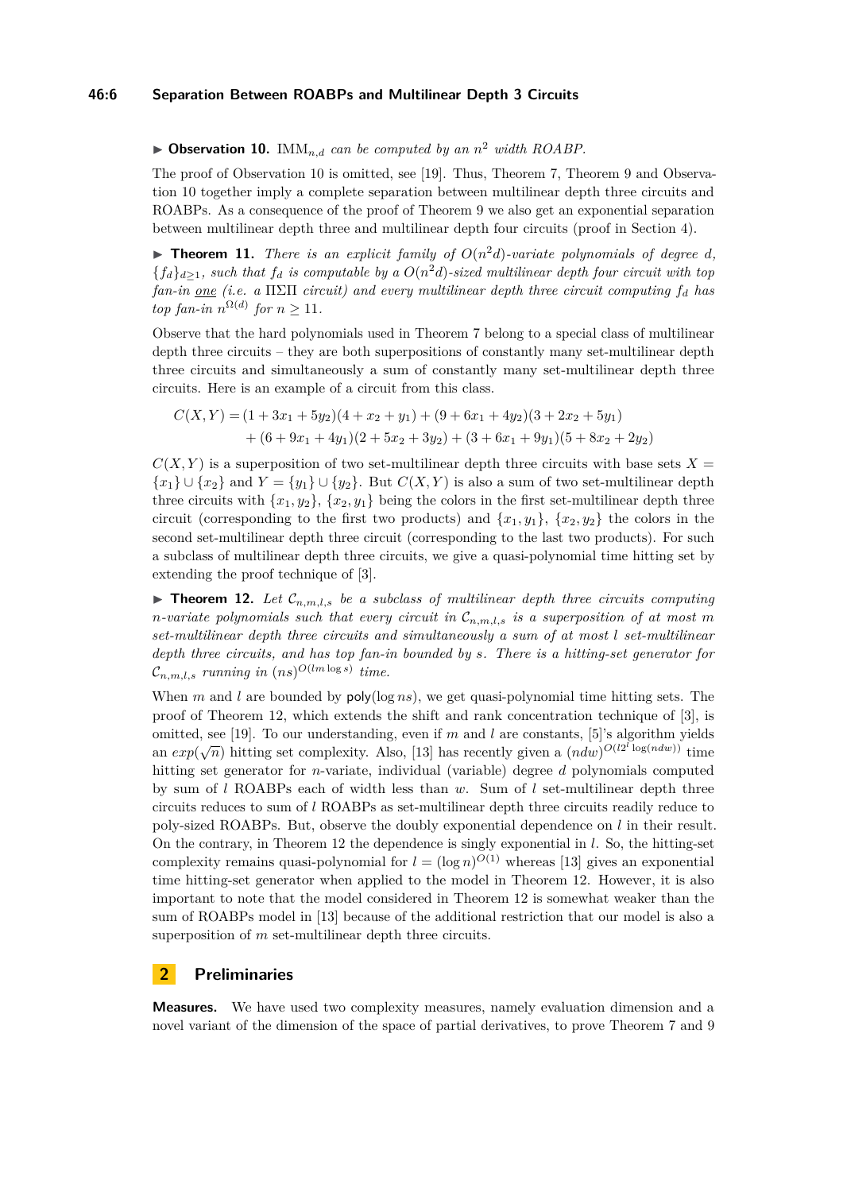#### **46:6 Separation Between ROABPs and Multilinear Depth 3 Circuits**

<span id="page-5-0"></span> $\triangleright$  **Observation 10.** IMM<sub>n,d</sub> can be computed by an  $n^2$  width ROABP.

The proof of Observation [10](#page-5-0) is omitted, see [\[19\]](#page-13-13). Thus, Theorem [7,](#page-4-2) Theorem [9](#page-4-0) and Observation [10](#page-5-0) together imply a complete separation between multilinear depth three circuits and ROABPs. As a consequence of the proof of Theorem [9](#page-4-0) we also get an exponential separation between multilinear depth three and multilinear depth four circuits (proof in Section [4\)](#page-10-0).

<span id="page-5-1"></span>**Fineorem 11.** *There is an explicit family of*  $O(n^2d)$ *-variate polynomials of degree d,*  ${f_d}_{d\geq 1}$ , such that  $f_d$  is computable by a  $O(n^2d)$ -sized multilinear depth four circuit with top *fan-in one (i.e. a* ΠΣΠ *circuit) and every multilinear depth three circuit computing f<sup>d</sup> has top fan-in*  $n^{\Omega(d)}$  *for*  $n \geq 11$ *.* 

Observe that the hard polynomials used in Theorem [7](#page-4-2) belong to a special class of multilinear depth three circuits – they are both superpositions of constantly many set-multilinear depth three circuits and simultaneously a sum of constantly many set-multilinear depth three circuits. Here is an example of a circuit from this class.

$$
C(X,Y) = (1+3x1+5y2)(4+x2+y1) + (9+6x1+4y2)(3+2x2+5y1)+ (6+9x1+4y1)(2+5x2+3y2) + (3+6x1+9y1)(5+8x2+2y2)
$$

 $C(X, Y)$  is a superposition of two set-multilinear depth three circuits with base sets  $X =$  ${x_1} \cup {x_2}$  and  $Y = {y_1} \cup {y_2}$ . But  $C(X, Y)$  is also a sum of two set-multilinear depth three circuits with  $\{x_1, y_2\}$ ,  $\{x_2, y_1\}$  being the colors in the first set-multilinear depth three circuit (corresponding to the first two products) and  $\{x_1, y_1\}$ ,  $\{x_2, y_2\}$  the colors in the second set-multilinear depth three circuit (corresponding to the last two products). For such a subclass of multilinear depth three circuits, we give a quasi-polynomial time hitting set by extending the proof technique of [\[3\]](#page-13-11).

<span id="page-5-2"></span>**Theorem 12.** Let  $\mathcal{C}_{n,m,l,s}$  be a subclass of multilinear depth three circuits computing *n*-variate polynomials such that every circuit in  $\mathcal{C}_{n,m,l,s}$  is a superposition of at most m *set-multilinear depth three circuits and simultaneously a sum of at most l set-multilinear depth three circuits, and has top fan-in bounded by s. There is a hitting-set generator for*  $\mathcal{C}_{n,m,l,s}$  *running in*  $(ns)^{O(lm\log s)}$  *time.* 

When *m* and *l* are bounded by  $poly(log ns)$ , we get quasi-polynomial time hitting sets. The proof of Theorem [12,](#page-5-2) which extends the shift and rank concentration technique of [\[3\]](#page-13-11), is omitted, see [\[19\]](#page-13-13). To our understanding, even if *m* and *l* are constants, [\[5\]](#page-13-8)'s algorithm yields an  $exp(\sqrt{n})$  hitting set complexity. Also, [\[13\]](#page-13-14) has recently given a  $(ndw)^{O(l2^l \log(ndw))}$  time hitting set generator for *n*-variate, individual (variable) degree *d* polynomials computed by sum of *l* ROABPs each of width less than *w*. Sum of *l* set-multilinear depth three circuits reduces to sum of *l* ROABPs as set-multilinear depth three circuits readily reduce to poly-sized ROABPs. But, observe the doubly exponential dependence on *l* in their result. On the contrary, in Theorem [12](#page-5-2) the dependence is singly exponential in *l*. So, the hitting-set complexity remains quasi-polynomial for  $l = (\log n)^{O(1)}$  whereas [\[13\]](#page-13-14) gives an exponential time hitting-set generator when applied to the model in Theorem [12.](#page-5-2) However, it is also important to note that the model considered in Theorem [12](#page-5-2) is somewhat weaker than the sum of ROABPs model in [\[13\]](#page-13-14) because of the additional restriction that our model is also a superposition of *m* set-multilinear depth three circuits.

# <span id="page-5-3"></span>**2 Preliminaries**

**Measures.** We have used two complexity measures, namely evaluation dimension and a novel variant of the dimension of the space of partial derivatives, to prove Theorem [7](#page-4-2) and [9](#page-4-0)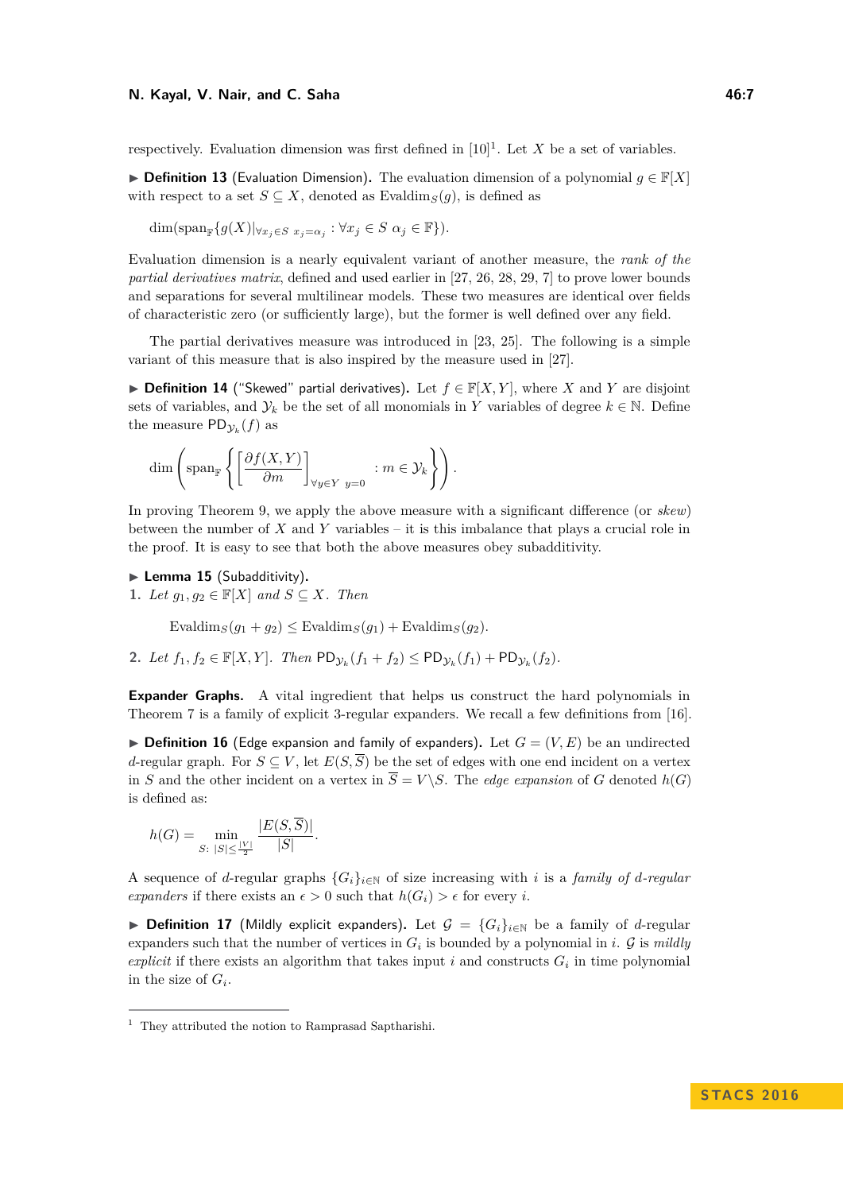#### **N. Kayal, V. Nair, and C. Saha 46:7**

respectively. Evaluation dimension was first defined in  $[10]$ <sup>[1](#page-6-0)</sup>. Let *X* be a set of variables.

**► Definition 13** (Evaluation Dimension). The evaluation dimension of a polynomial  $g \in \mathbb{F}[X]$ with respect to a set  $S \subseteq X$ , denoted as Evaldim<sub>*S*</sub>(*q*), is defined as

 $\dim(\text{span}_{\mathbb{F}}\{g(X)|\forall x_j\in S} x_j=\alpha_j : \forall x_j\in S \; \alpha_j\in \mathbb{F}\}).$ 

Evaluation dimension is a nearly equivalent variant of another measure, the *rank of the partial derivatives matrix*, defined and used earlier in [\[27,](#page-14-10) [26,](#page-14-11) [28,](#page-14-12) [29,](#page-14-13) [7\]](#page-13-7) to prove lower bounds and separations for several multilinear models. These two measures are identical over fields of characteristic zero (or sufficiently large), but the former is well defined over any field.

The partial derivatives measure was introduced in [\[23,](#page-14-16) [25\]](#page-14-17). The following is a simple variant of this measure that is also inspired by the measure used in [\[27\]](#page-14-10).

▶ **Definition 14** ("Skewed" partial derivatives). Let  $f \in \mathbb{F}[X, Y]$ , where *X* and *Y* are disjoint sets of variables, and  $\mathcal{Y}_k$  be the set of all monomials in *Y* variables of degree  $k \in \mathbb{N}$ . Define the measure  $PD_{\mathcal{Y}_k}(f)$  as

$$
\dim \left( \operatorname{span}_{\mathbb{F}} \left\{ \left[ \frac{\partial f(X, Y)}{\partial m} \right]_{\forall y \in Y} : m \in \mathcal{Y}_k \right\} \right).
$$

In proving Theorem [9,](#page-4-0) we apply the above measure with a significant difference (or *skew*) between the number of *X* and *Y* variables – it is this imbalance that plays a crucial role in the proof. It is easy to see that both the above measures obey subadditivity.

<span id="page-6-1"></span>▶ Lemma 15 (Subadditivity).

**1.** *Let*  $g_1, g_2 \in \mathbb{F}[X]$  *and*  $S \subseteq X$ *. Then* 

 $\text{Evaldim}_S(q_1 + q_2) \leq \text{Evaldim}_S(q_1) + \text{Evaldim}_S(q_2)$ .

**2.** *Let*  $f_1, f_2 \in \mathbb{F}[X, Y]$ *. Then*  $PD_{\mathcal{Y}_k}(f_1 + f_2) \leq PD_{\mathcal{Y}_k}(f_1) + PD_{\mathcal{Y}_k}(f_2)$ *.* 

**Expander Graphs.** A vital ingredient that helps us construct the hard polynomials in Theorem [7](#page-4-2) is a family of explicit 3-regular expanders. We recall a few definitions from [\[16\]](#page-13-15).

 $\triangleright$  **Definition 16** (Edge expansion and family of expanders). Let  $G = (V, E)$  be an undirected *d*-regular graph. For  $S \subseteq V$ , let  $E(S, \overline{S})$  be the set of edges with one end incident on a vertex in *S* and the other incident on a vertex in  $\overline{S} = V \ S$ . The *edge expansion* of *G* denoted  $h(G)$ is defined as:

$$
h(G) = \min_{S: \ |S| \le \frac{|V|}{2}} \frac{|E(S, \overline{S})|}{|S|}.
$$

A sequence of *d*-regular graphs  ${G_i}_{i \in \mathbb{N}}$  of size increasing with *i* is a *family of d-regular expanders* if there exists an  $\epsilon > 0$  such that  $h(G_i) > \epsilon$  for every *i*.

▶ **Definition 17** (Mildly explicit expanders). Let  $\mathcal{G} = \{G_i\}_{i\in\mathbb{N}}$  be a family of *d*-regular expanders such that the number of vertices in  $G_i$  is bounded by a polynomial in *i*.  $\mathcal G$  is *mildly explicit* if there exists an algorithm that takes input  $i$  and constructs  $G_i$  in time polynomial in the size of  $G_i$ .

<span id="page-6-0"></span><sup>1</sup> They attributed the notion to Ramprasad Saptharishi.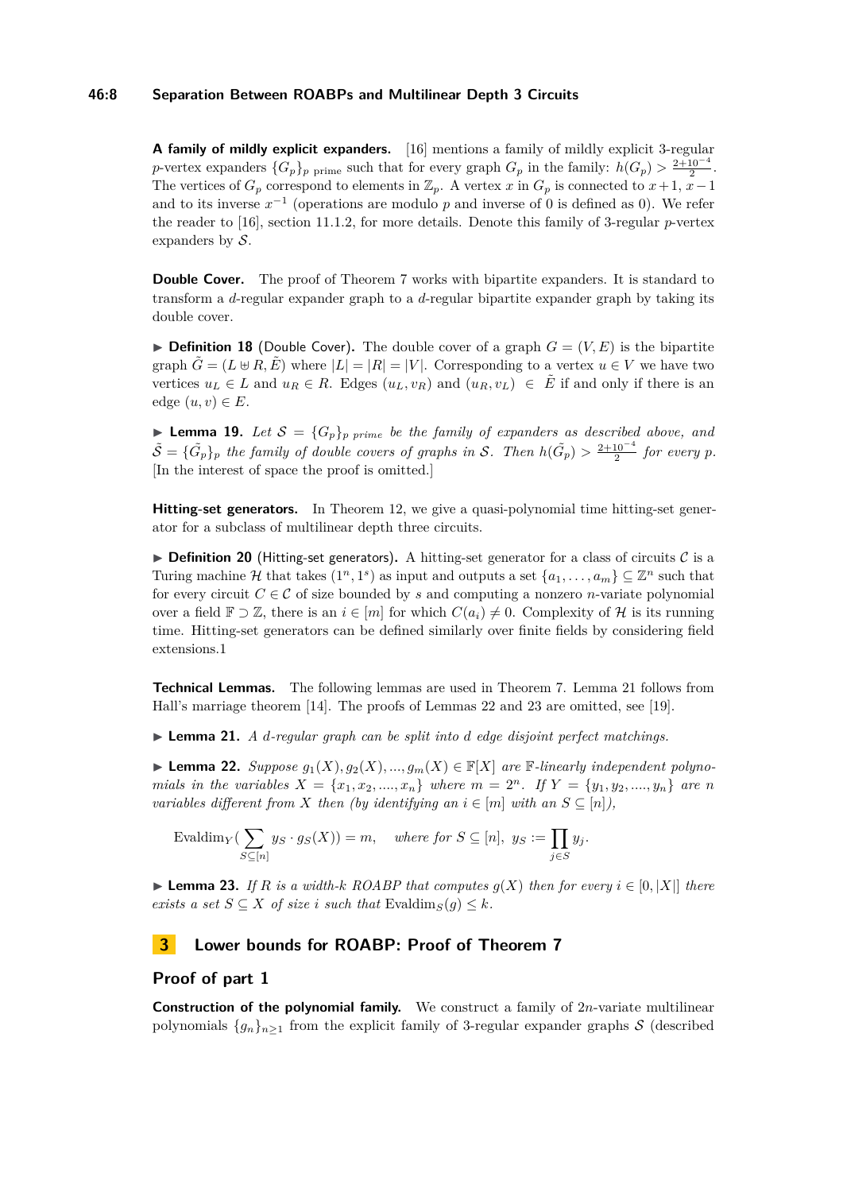#### **46:8 Separation Between ROABPs and Multilinear Depth 3 Circuits**

**A family of mildly explicit expanders.** [\[16\]](#page-13-15) mentions a family of mildly explicit 3-regular *p*-vertex expanders  ${G_p}_p$  prime such that for every graph  $G_p$  in the family:  $h(G_p) > \frac{2+10^{-4}}{2}$ . The vertices of  $G_p$  correspond to elements in  $\mathbb{Z}_p$ . A vertex *x* in  $G_p$  is connected to  $x+1$ ,  $x-1$ and to its inverse  $x^{-1}$  (operations are modulo p and inverse of 0 is defined as 0). We refer the reader to [\[16\]](#page-13-15), section 11.1.2, for more details. Denote this family of 3-regular *p*-vertex expanders by  $S$ .

**Double Cover.** The proof of Theorem [7](#page-4-2) works with bipartite expanders. It is standard to transform a *d*-regular expander graph to a *d*-regular bipartite expander graph by taking its double cover.

**Definition 18** (Double Cover). The double cover of a graph  $G = (V, E)$  is the bipartite graph  $\tilde{G} = (L \oplus R, \tilde{E})$  where  $|L| = |R| = |V|$ . Corresponding to a vertex  $u \in V$  we have two vertices  $u_L \in L$  and  $u_R \in R$ . Edges  $(u_L, v_R)$  and  $(u_R, v_L) \in \tilde{E}$  if and only if there is an edge  $(u, v) \in E$ .

<span id="page-7-5"></span>**Lemma 19.** Let  $S = {G_p}_p$  *p*rime be the family of expanders as described above, and  $\tilde{S} = {\{\tilde{G}_p\}}_p$  the family of double covers of graphs in S. Then  $h(\tilde{G}_p) > \frac{2+10^{-4}}{2}$  for every p. [In the interest of space the proof is omitted.]

**Hitting-set generators.** In Theorem [12,](#page-5-2) we give a quasi-polynomial time hitting-set generator for a subclass of multilinear depth three circuits.

<span id="page-7-0"></span>**Definition 20** (Hitting-set generators). A hitting-set generator for a class of circuits  $C$  is a Turing machine H that takes  $(1^n, 1^s)$  as input and outputs a set  $\{a_1, \ldots, a_m\} \subseteq \mathbb{Z}^n$  such that for every circuit  $C \in \mathcal{C}$  of size bounded by *s* and computing a nonzero *n*-variate polynomial over a field  $\mathbb{F} \supset \mathbb{Z}$ , there is an  $i \in [m]$  for which  $C(a_i) \neq 0$ . Complexity of H is its running time. Hitting-set generators can be defined similarly over finite fields by considering field extensions.1

**Technical Lemmas.** The following lemmas are used in Theorem [7.](#page-4-2) Lemma [21](#page-7-2) follows from Hall's marriage theorem [\[14\]](#page-13-16). The proofs of Lemmas [22](#page-7-3) and [23](#page-7-4) are omitted, see [\[19\]](#page-13-13).

<span id="page-7-2"></span>▶ **Lemma 21.** *A d-regular graph can be split into d edge disjoint perfect matchings.* 

<span id="page-7-3"></span>▶ **Lemma 22.** *Suppose*  $g_1(X), g_2(X), ..., g_m(X) \in \mathbb{F}[X]$  *are*  $\mathbb{F}\text{-linearly independent polynomials}$ *mials in the variables*  $X = \{x_1, x_2, ..., x_n\}$  *where*  $m = 2^n$ *. If*  $Y = \{y_1, y_2, ..., y_n\}$  *are n variables different from X then (by identifying an*  $i \in [m]$  *with an*  $S \subseteq [n]$ *),* 

$$
\text{Evaldim}_Y(\sum_{S \subseteq [n]} y_S \cdot g_S(X)) = m, \quad \text{where for } S \subseteq [n], \ y_S := \prod_{j \in S} y_j.
$$

<span id="page-7-4"></span>▶ **Lemma 23.** *If R is a width-k ROABP that computes*  $g(X)$  *then for every*  $i \in [0, |X|]$  *there exists a set*  $S \subseteq X$  *of size i such that* Evaldim<sub>*S*</sub>(*g*)  $\leq k$ *.* 

# <span id="page-7-1"></span>**3 Lower bounds for ROABP: Proof of Theorem [7](#page-4-2)**

### **Proof of part 1**

**Construction of the polynomial family.** We construct a family of 2*n*-variate multilinear polynomials  $\{g_n\}_{n\geq 1}$  from the explicit family of 3-regular expander graphs S (described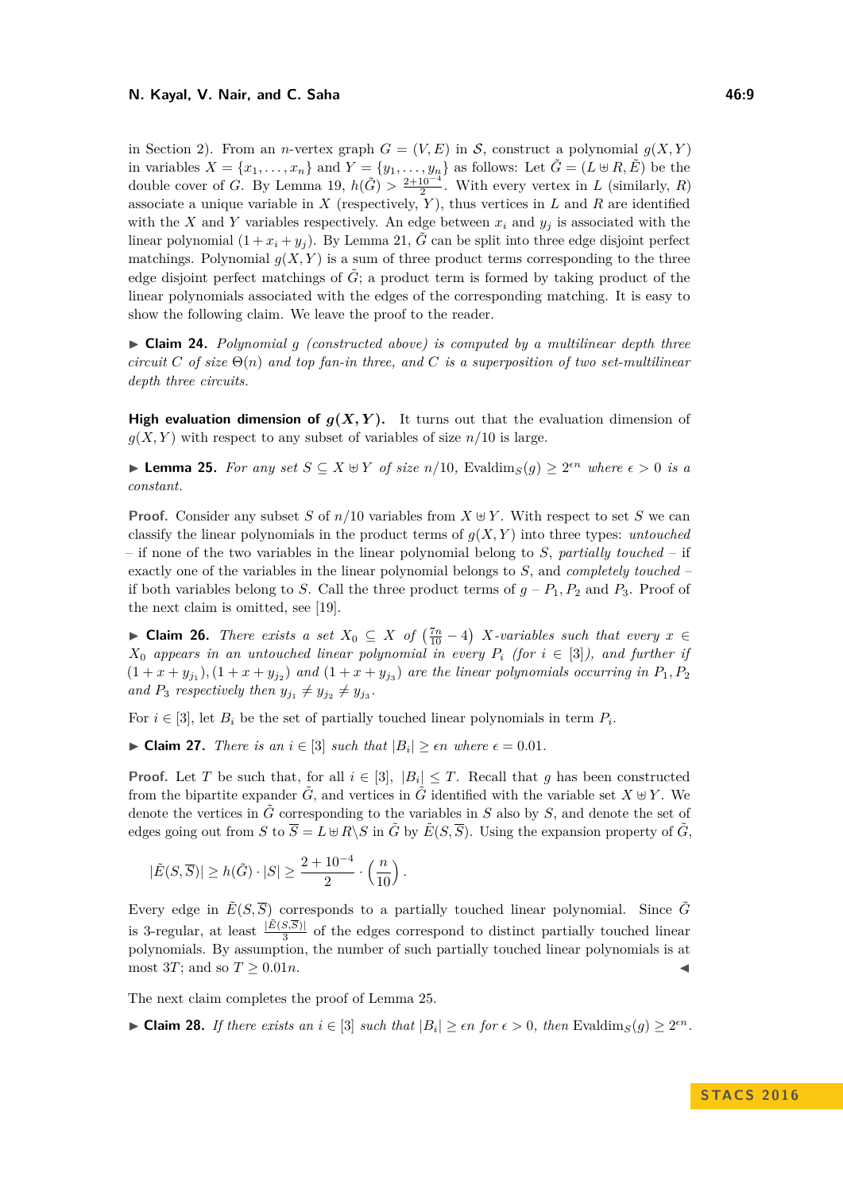#### **N. Kayal, V. Nair, and C. Saha 46:9**

in Section [2\)](#page-5-3). From an *n*-vertex graph  $G = (V, E)$  in S, construct a polynomial  $g(X, Y)$ in variables  $X = \{x_1, \ldots, x_n\}$  and  $Y = \{y_1, \ldots, y_n\}$  as follows: Let  $\tilde{G} = (L \oplus R, \tilde{E})$  be the double cover of *G*. By Lemma [19,](#page-7-5)  $h(\tilde{G}) > \frac{2+10^{-4}}{2}$ . With every vertex in *L* (similarly, *R*) associate a unique variable in  $X$  (respectively,  $Y$ ), thus vertices in  $L$  and  $R$  are identified with the *X* and *Y* variables respectively. An edge between  $x_i$  and  $y_j$  is associated with the linear polynomial  $(1 + x_i + y_i)$ . By Lemma [21,](#page-7-2)  $\tilde{G}$  can be split into three edge disjoint perfect matchings. Polynomial  $g(X, Y)$  is a sum of three product terms corresponding to the three edge disjoint perfect matchings of  $\tilde{G}$ ; a product term is formed by taking product of the linear polynomials associated with the edges of the corresponding matching. It is easy to show the following claim. We leave the proof to the reader.

<span id="page-8-3"></span>► Claim 24. *Polynomial g (constructed above) is computed by a multilinear depth three circuit*  $C$  *of size*  $\Theta(n)$  *and top fan-in three, and*  $C$  *is a superposition of two set-multilinear depth three circuits.*

**High evaluation dimension of**  $g(X, Y)$ **.** It turns out that the evaluation dimension of  $g(X, Y)$  with respect to any subset of variables of size  $n/10$  is large.

<span id="page-8-0"></span>**► Lemma 25.** For any set  $S \subseteq X \oplus Y$  of size  $n/10$ , Evaldim<sub>*S*</sub>(*g*)  $\geq 2^{\epsilon n}$  *where*  $\epsilon > 0$  *is a constant.*

**Proof.** Consider any subset *S* of  $n/10$  variables from  $X \oplus Y$ . With respect to set *S* we can classify the linear polynomials in the product terms of  $g(X, Y)$  into three types: *untouched* – if none of the two variables in the linear polynomial belong to *S*, *partially touched* – if exactly one of the variables in the linear polynomial belongs to *S*, and *completely touched* – if both variables belong to *S*. Call the three product terms of  $g - P_1, P_2$  and  $P_3$ . Proof of the next claim is omitted, see [\[19\]](#page-13-13).

<span id="page-8-1"></span>► **Claim 26.** *There exists a set*  $X_0 \subseteq X$  *of*  $\left(\frac{7n}{10} - 4\right)$  *X*-variables such that every  $x \in$  $X_0$  *appears in an untouched linear polynomial in every*  $P_i$  (for  $i \in [3]$ ), and further if  $(1 + x + y_{j_1}), (1 + x + y_{j_2})$  and  $(1 + x + y_{j_3})$  are the linear polynomials occurring in  $P_1, P_2$ and  $P_3$  *respectively then*  $y_{j_1} \neq y_{j_2} \neq y_{j_3}$ .

For  $i \in [3]$ , let  $B_i$  be the set of partially touched linear polynomials in term  $P_i$ .

► **Claim 27.** *There is an*  $i \in [3]$  *such that*  $|B_i| \geq \epsilon n$  *where*  $\epsilon = 0.01$ *.* 

**Proof.** Let *T* be such that, for all  $i \in [3]$ ,  $|B_i| \leq T$ . Recall that *g* has been constructed from the bipartite expander  $\tilde{G}$ , and vertices in  $\tilde{G}$  identified with the variable set  $X \oplus Y$ . We denote the vertices in  $\tilde{G}$  corresponding to the variables in  $S$  also by  $S$ , and denote the set of edges going out from *S* to  $\overline{S} = L \oplus R \backslash S$  in  $\tilde{G}$  by  $\tilde{E}(S, \overline{S})$ . Using the expansion property of  $\tilde{G}$ ,

$$
|\tilde{E}(S,\overline{S})| \geq h(\tilde{G}) \cdot |S| \geq \frac{2+10^{-4}}{2} \cdot \left(\frac{n}{10}\right).
$$

Every edge in  $\tilde{E}(S, \overline{S})$  corresponds to a partially touched linear polynomial. Since  $\tilde{G}$ is 3-regular, at least  $\frac{|\tilde{E}(S,\overline{S})|}{3}$  of the edges correspond to distinct partially touched linear polynomials. By assumption, the number of such partially touched linear polynomials is at most 3*T*; and so  $T \geq 0.01n$ .

The next claim completes the proof of Lemma [25.](#page-8-0)

<span id="page-8-2"></span>► **Claim 28.** *If there exists an*  $i \in [3]$  *such that*  $|B_i| \geq \epsilon n$  *for*  $\epsilon > 0$ *, then* Evaldim<sub>*S*</sub>(*g*)  $\geq 2^{\epsilon n}$ *.*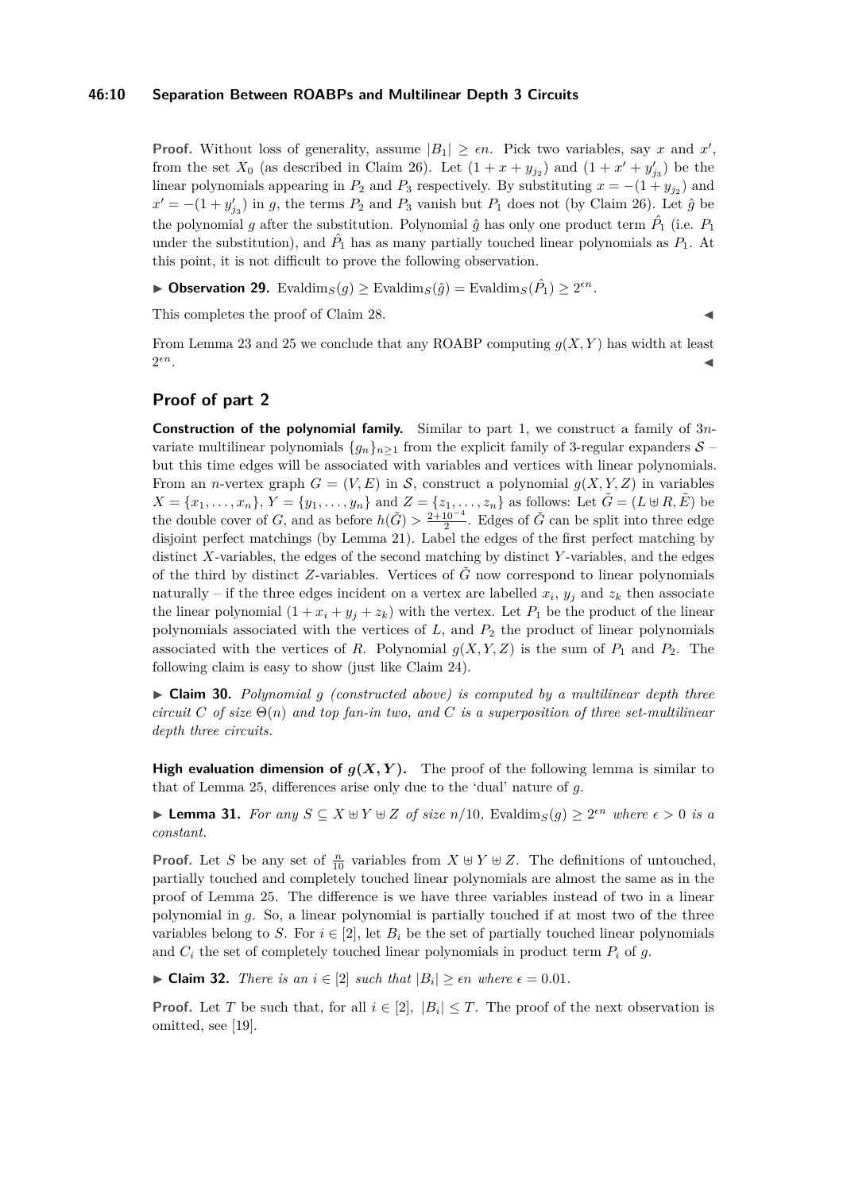#### **46:10 Separation Between ROABPs and Multilinear Depth 3 Circuits**

**Proof.** Without loss of generality, assume  $|B_1| \geq \epsilon n$ . Pick two variables, say *x* and *x'*, from the set  $X_0$  (as described in Claim [26\)](#page-8-1). Let  $(1 + x + y_{j_2})$  and  $(1 + x' + y'_{j_3})$  be the linear polynomials appearing in  $P_2$  and  $P_3$  respectively. By substituting  $x = -(1 + y_{j2})$  and  $x' = -(1 + y'_{j3})$  in *g*, the terms  $P_2$  and  $P_3$  vanish but  $P_1$  does not (by Claim [26\)](#page-8-1). Let  $\hat{g}$  be the polynomial *g* after the substitution. Polynomial  $\hat{g}$  has only one product term  $\hat{P}_1$  (i.e.  $P_1$ ) under the substitution), and  $\hat{P}_1$  has as many partially touched linear polynomials as  $P_1$ . At this point, it is not difficult to prove the following observation.

▶ Observation 29. Evaldim<sub>*S*</sub>(*g*) ≥ Evaldim<sub>*S*</sub>( $\hat{g}$ ) = Evaldim<sub>*S*</sub>( $\hat{P}_1$ ) ≥ 2<sup>*en*</sup>.

This completes the proof of Claim [28.](#page-8-2)

From Lemma [23](#page-7-4) and [25](#page-8-0) we conclude that any ROABP computing *g*(*X, Y* ) has width at least  $2^{\epsilon n}.$  $\epsilon n$ .

# **Proof of part 2**

**Construction of the polynomial family.** Similar to part 1, we construct a family of 3*n*variate multilinear polynomials  ${g_n}_{n>1}$  from the explicit family of 3-regular expanders  $S$  – but this time edges will be associated with variables and vertices with linear polynomials. From an *n*-vertex graph  $G = (V, E)$  in S, construct a polynomial  $g(X, Y, Z)$  in variables  $X = \{x_1, \ldots, x_n\}, Y = \{y_1, \ldots, y_n\}$  and  $Z = \{z_1, \ldots, z_n\}$  as follows: Let  $\tilde{G} = (L \oplus R, \tilde{E})$  be the double cover of *G*, and as before  $h(\tilde{G}) > \frac{2+10^{-4}}{2}$ . Edges of  $\tilde{G}$  can be split into three edge disjoint perfect matchings (by Lemma [21\)](#page-7-2). Label the edges of the first perfect matching by distinct *X*-variables, the edges of the second matching by distinct *Y* -variables, and the edges of the third by distinct *Z*-variables. Vertices of  $\tilde{G}$  now correspond to linear polynomials naturally – if the three edges incident on a vertex are labelled  $x_i$ ,  $y_j$  and  $z_k$  then associate the linear polynomial  $(1 + x_i + y_j + z_k)$  with the vertex. Let  $P_1$  be the product of the linear polynomials associated with the vertices of *L*, and *P*<sup>2</sup> the product of linear polynomials associated with the vertices of *R*. Polynomial  $g(X, Y, Z)$  is the sum of  $P_1$  and  $P_2$ . The following claim is easy to show (just like Claim [24\)](#page-8-3).

 $\triangleright$  **Claim 30.** *Polynomial g* (constructed above) is computed by a multilinear depth three *circuit*  $C$  *of size*  $\Theta(n)$  *and top fan-in two, and*  $C$  *is a superposition of three set-multilinear depth three circuits.*

**High evaluation dimension of**  $g(X, Y)$ **.** The proof of the following lemma is similar to that of Lemma [25,](#page-8-0) differences arise only due to the 'dual' nature of *g*.

<span id="page-9-0"></span>► **Lemma 31.** *For any*  $S \subseteq X \oplus Y \oplus Z$  *of size*  $n/10$ *,* Evaldim<sub>*S*</sub>(*g*)  $\geq 2^{\epsilon n}$  *where*  $\epsilon > 0$  *is a constant.*

**Proof.** Let *S* be any set of  $\frac{n}{10}$  variables from  $X \oplus Y \oplus Z$ . The definitions of untouched, partially touched and completely touched linear polynomials are almost the same as in the proof of Lemma [25.](#page-8-0) The difference is we have three variables instead of two in a linear polynomial in *g*. So, a linear polynomial is partially touched if at most two of the three variables belong to *S*. For  $i \in [2]$ , let  $B_i$  be the set of partially touched linear polynomials and  $C_i$  the set of completely touched linear polynomials in product term  $P_i$  of  $g$ .

► **Claim 32.** *There is an*  $i \in [2]$  *such that*  $|B_i| \geq \epsilon n$  *where*  $\epsilon = 0.01$ *.* 

**Proof.** Let *T* be such that, for all  $i \in [2]$ ,  $|B_i| \leq T$ . The proof of the next observation is omitted, see [\[19\]](#page-13-13).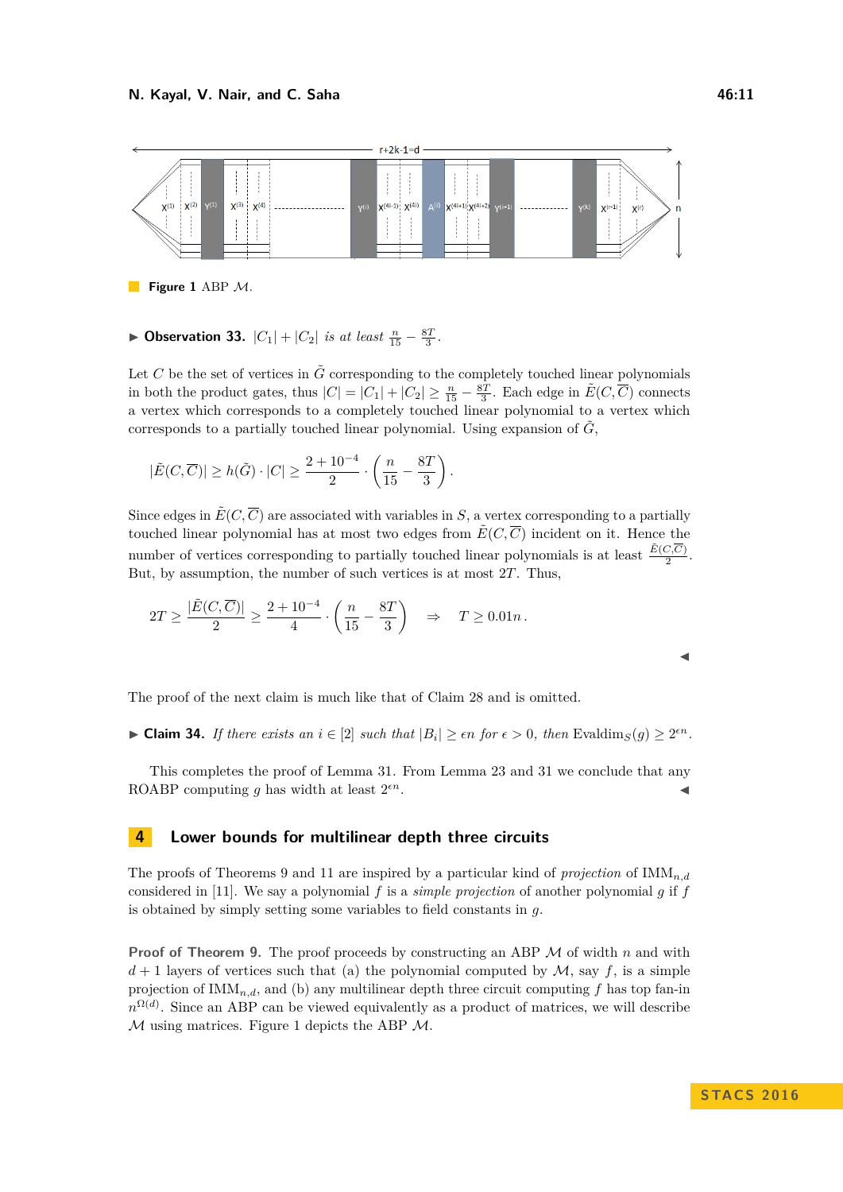<span id="page-10-1"></span>

**Figure 1 ABP M.** 

# ▶ Observation 33.  $|C_1| + |C_2|$  *is at least*  $\frac{n}{15} - \frac{8T}{3}$ *.*

Let  $C$  be the set of vertices in  $\tilde{G}$  corresponding to the completely touched linear polynomials in both the product gates, thus  $|C| = |C_1| + |C_2| \ge \frac{n}{15} - \frac{8T}{3}$ . Each edge in  $\tilde{E}(C, \overline{C})$  connects a vertex which corresponds to a completely touched linear polynomial to a vertex which corresponds to a partially touched linear polynomial. Using expansion of  $\tilde{G}$ ,

$$
|\tilde{E}(C,\overline{C})| \geq h(\tilde{G}) \cdot |C| \geq \frac{2+10^{-4}}{2} \cdot \left(\frac{n}{15} - \frac{8T}{3}\right).
$$

Since edges in  $\tilde{E}(C,\overline{C})$  are associated with variables in *S*, a vertex corresponding to a partially touched linear polynomial has at most two edges from  $\tilde{E}(C, \overline{C})$  incident on it. Hence the number of vertices corresponding to partially touched linear polynomials is at least  $\frac{\tilde{E}(C,\overline{C})}{2}$ . But, by assumption, the number of such vertices is at most 2*T*. Thus,

$$
2T \ge \frac{|\tilde{E}(C,\overline{C})|}{2} \ge \frac{2+10^{-4}}{4} \cdot \left(\frac{n}{15} - \frac{8T}{3}\right) \quad \Rightarrow \quad T \ge 0.01n \,.
$$

The proof of the next claim is much like that of Claim [28](#page-8-2) and is omitted.

► **Claim 34.** *If there exists an*  $i \in [2]$  *such that*  $|B_i| \geq \epsilon n$  *for*  $\epsilon > 0$ *, then* Evaldim<sub>*S*</sub>(*g*)  $\geq 2^{\epsilon n}$ *.* 

This completes the proof of Lemma [31.](#page-9-0) From Lemma [23](#page-7-4) and [31](#page-9-0) we conclude that any ROABP computing *q* has width at least  $2^{\epsilon n}$ .  $\epsilon n$ .

# <span id="page-10-0"></span>**4 Lower bounds for multilinear depth three circuits**

The proofs of Theorems [9](#page-4-0) and [11](#page-5-1) are inspired by a particular kind of *projection* of IMM*n,d* considered in [\[11\]](#page-13-12). We say a polynomial *f* is a *simple projection* of another polynomial *g* if *f* is obtained by simply setting some variables to field constants in *g*.

**Proof of Theorem [9.](#page-4-0)** The proof proceeds by constructing an ABP M of width *n* and with  $d+1$  layers of vertices such that (a) the polynomial computed by  $\mathcal{M}$ , say  $f$ , is a simple projection of IMM*n,d*, and (b) any multilinear depth three circuit computing *f* has top fan-in  $n^{\Omega(d)}$ . Since an ABP can be viewed equivalently as a product of matrices, we will describe  $M$  using matrices. Figure [1](#page-10-1) depicts the ABP  $M$ .

 $\blacktriangleleft$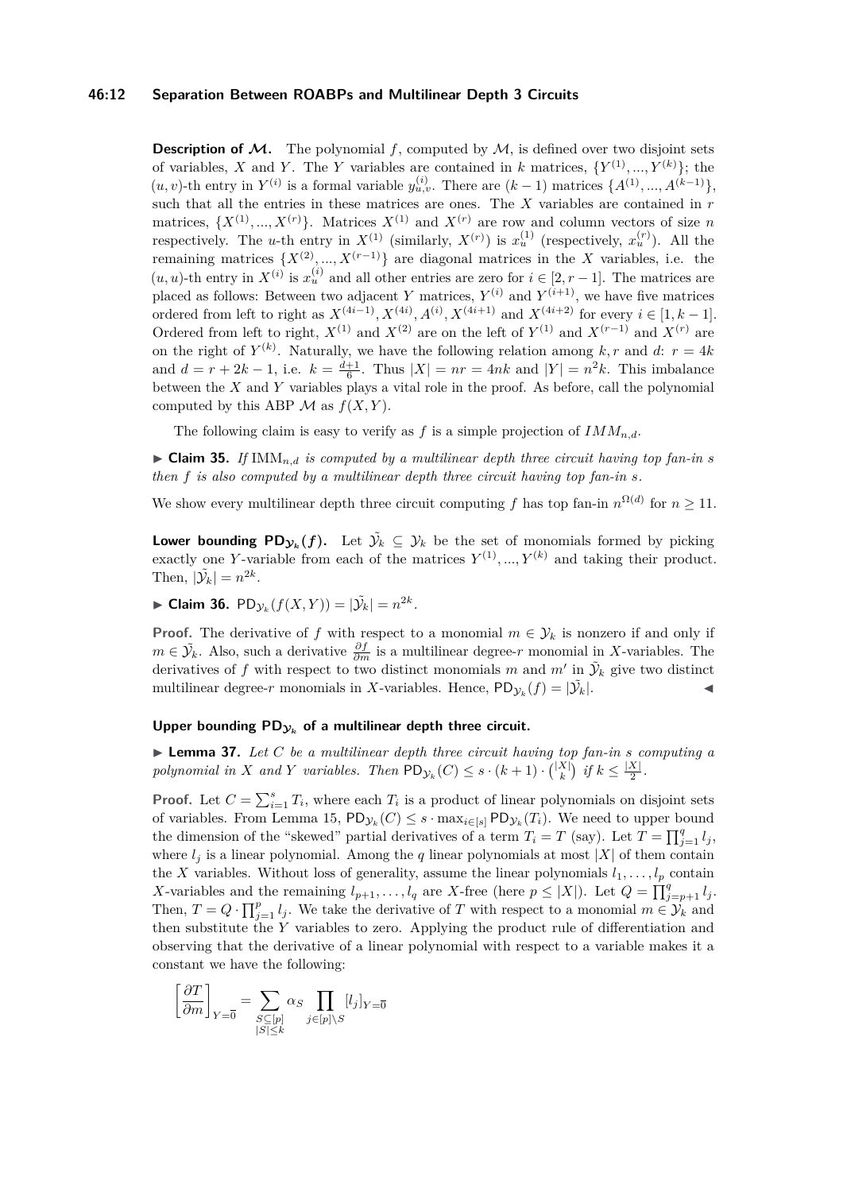#### **46:12 Separation Between ROABPs and Multilinear Depth 3 Circuits**

**Description of**  $M$ **.** The polynomial  $f$ , computed by  $M$ , is defined over two disjoint sets of variables, *X* and *Y*. The *Y* variables are contained in *k* matrices,  $\{Y^{(1)},...,Y^{(k)}\}$ ; the  $(u, v)$ -th entry in  $Y^{(i)}$  is a formal variable  $y_{u,v}^{(i)}$ . There are  $(k-1)$  matrices  $\{A^{(1)}, ..., A^{(k-1)}\}$ , such that all the entries in these matrices are ones. The *X* variables are contained in *r* matrices,  $\{X^{(1)},...,X^{(r)}\}$ . Matrices  $X^{(1)}$  and  $X^{(r)}$  are row and column vectors of size *n* respectively. The *u*-th entry in  $X^{(1)}$  (similarly,  $X^{(r)}$ ) is  $x_u^{(1)}$  (respectively,  $x_u^{(r)}$ ). All the remaining matrices  $\{X^{(2)}, ..., X^{(r-1)}\}$  are diagonal matrices in the *X* variables, i.e. the  $(u, u)$ -th entry in  $X^{(i)}$  is  $x_u^{(i)}$  and all other entries are zero for  $i \in [2, r - 1]$ . The matrices are placed as follows: Between two adjacent *Y* matrices,  $Y^{(i)}$  and  $Y^{(i+1)}$ , we have five matrices ordered from left to right as  $X^{(4i-1)}$ ,  $X^{(4i)}$ ,  $A^{(i)}$ ,  $X^{(4i+1)}$  and  $X^{(4i+2)}$  for every  $i \in [1, k-1]$ . Ordered from left to right,  $X^{(1)}$  and  $X^{(2)}$  are on the left of  $Y^{(1)}$  and  $X^{(r-1)}$  and  $X^{(r)}$  are on the right of  $Y^{(k)}$ . Naturally, we have the following relation among  $k, r$  and  $d: r = 4k$ and  $d = r + 2k - 1$ , i.e.  $k = \frac{d+1}{6}$ . Thus  $|X| = nr = 4nk$  and  $|Y| = n^2k$ . This imbalance between the *X* and *Y* variables plays a vital role in the proof. As before, call the polynomial computed by this ABP  $\mathcal M$  as  $f(X, Y)$ .

The following claim is easy to verify as  $f$  is a simple projection of  $IMM_{n,d}$ .

<span id="page-11-2"></span> $\triangleright$  **Claim 35.** *If* IMM<sub>n,d</sub> *is computed by a multilinear depth three circuit having top fan-in s then f is also computed by a multilinear depth three circuit having top fan-in s.*

We show every multilinear depth three circuit computing f has top fan-in  $n^{\Omega(d)}$  for  $n \geq 11$ .

**Lower bounding**  $PD_{\mathcal{Y}_k}(f)$ **.** Let  $\tilde{\mathcal{Y}_k} \subseteq \mathcal{Y}_k$  be the set of monomials formed by picking exactly one *Y*-variable from each of the matrices  $Y^{(1)},..., Y^{(k)}$  and taking their product. Then,  $|\tilde{\mathcal{Y}}_k| = n^{2k}$ .

<span id="page-11-0"></span>► Claim 36.  $PD_{\mathcal{Y}_k}(f(X, Y)) = |\tilde{\mathcal{Y}}_k| = n^{2k}$ .

**Proof.** The derivative of *f* with respect to a monomial  $m \in \mathcal{Y}_k$  is nonzero if and only if *m* ∈  $\tilde{Y}_k$ . Also, such a derivative  $\frac{\partial f}{\partial m}$  is a multilinear degree-*r* monomial in *X*-variables. The derivatives of f with respect to two distinct monomials m and  $m'$  in  $\tilde{\mathcal{Y}}_k$  give two distinct multilinear degree-*r* monomials in *X*-variables. Hence,  $PD_{\mathcal{Y}_k}(f) = |\tilde{\mathcal{Y}}_k|$ .

#### Upper bounding  $PD_{y_k}$  of a multilinear depth three circuit.

<span id="page-11-1"></span> $\blacktriangleright$  **Lemma 37.** Let C be a multilinear depth three circuit having top fan-in *s* computing a *polynomial in X and Y variables.* Then  $PD_{\mathcal{Y}_k}(C) \leq s \cdot (k+1) \cdot {|\mathcal{X}| \choose k}$  *if*  $k \leq \frac{|\mathcal{X}|}{2}$  $\frac{\lambda}{2}$ .

**Proof.** Let  $C = \sum_{i=1}^{s} T_i$ , where each  $T_i$  is a product of linear polynomials on disjoint sets of variables. From Lemma [15,](#page-6-1)  $PD_{\mathcal{Y}_k}(C) \leq s \cdot \max_{i \in [s]} PD_{\mathcal{Y}_k}(T_i)$ . We need to upper bound the dimension of the "skewed" partial derivatives of a term  $T_i = T$  (say). Let  $T = \prod_{j=1}^q l_j$ , where  $l_j$  is a linear polynomial. Among the *q* linear polynomials at most  $|X|$  of them contain the *X* variables. Without loss of generality, assume the linear polynomials  $l_1, \ldots, l_p$  contain *X*-variables and the remaining  $l_{p+1}, \ldots, l_q$  are *X*-free (here  $p \leq |X|$ ). Let  $Q = \prod_{j=p+1}^q l_j$ . Then,  $T = Q \cdot \prod_{j=1}^{p} l_j$ . We take the derivative of *T* with respect to a monomial  $m \in \mathcal{Y}_k$  and then substitute the *Y* variables to zero. Applying the product rule of differentiation and observing that the derivative of a linear polynomial with respect to a variable makes it a constant we have the following:

$$
\left[\frac{\partial T}{\partial m}\right]_{Y=\overline{0}} = \sum_{\substack{S \subseteq [p] \\ |S| \le k}} \alpha_S \prod_{j \in [p] \setminus S} [l_j]_{Y=\overline{0}}
$$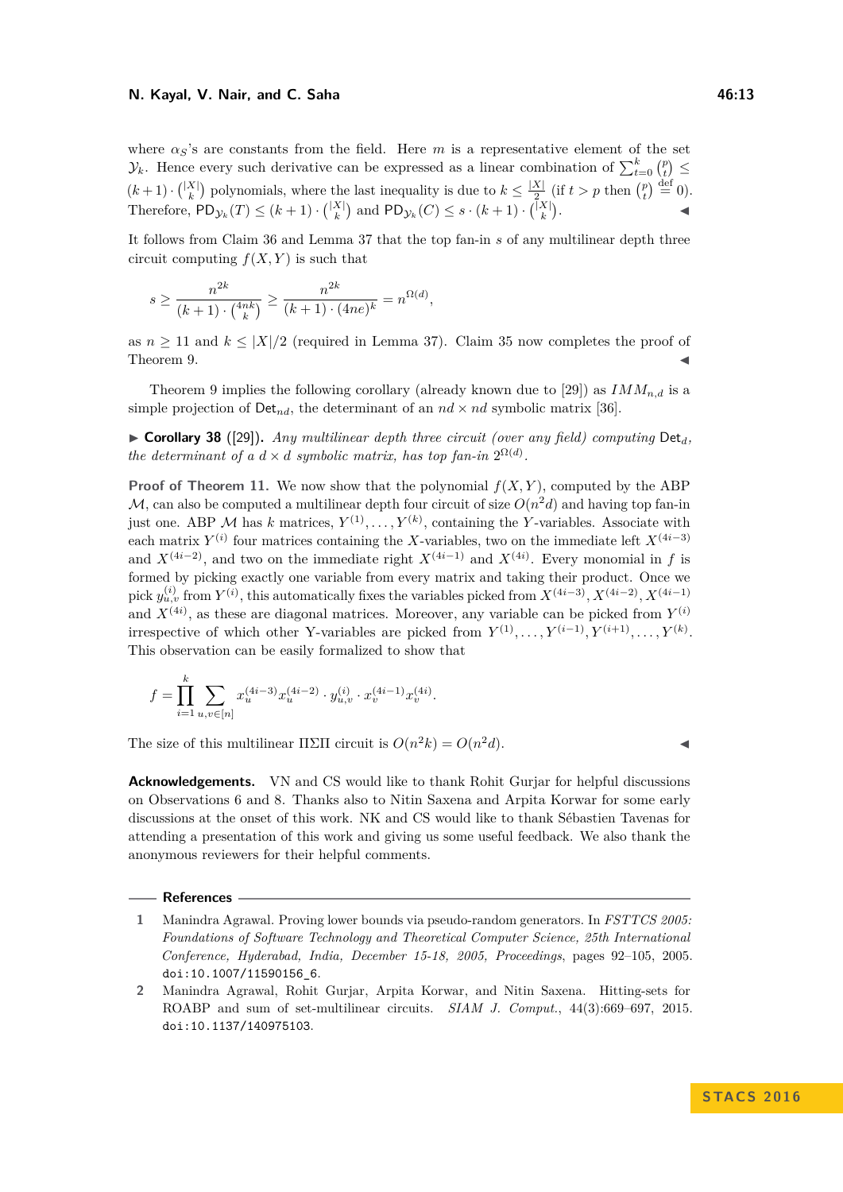#### **N. Kayal, V. Nair, and C. Saha 46:13**

where  $\alpha$ <sup>s</sup>'s are constants from the field. Here *m* is a representative element of the set  $\mathcal{Y}_k$ . Hence every such derivative can be expressed as a linear combination of  $\sum_{t=0}^k {p \choose t}$  $(k+1) \cdot {X \choose k}$  polynomials, where the last inequality is due to  $k \leq \frac{|X|}{2}$  $\frac{X}{2}$  (if  $t > p$  then  $\binom{p}{t} \stackrel{\text{def}}{=} 0$ ). Therefore,  $PD_{\mathcal{Y}_k}(T) \leq (k+1) \cdot {\binom{|X|}{k}}$  and  $PD_{\mathcal{Y}_k}(C) \leq s \cdot (k+1) \cdot {\binom{|X|}{k}}$ .

It follows from Claim [36](#page-11-0) and Lemma [37](#page-11-1) that the top fan-in *s* of any multilinear depth three circuit computing  $f(X, Y)$  is such that

$$
s \ge \frac{n^{2k}}{(k+1) \cdot {4nk \choose k}} \ge \frac{n^{2k}}{(k+1) \cdot (4ne)^k} = n^{\Omega(d)},
$$

as  $n \geq 11$  and  $k \leq |X|/2$  (required in Lemma [37\)](#page-11-1). Claim [35](#page-11-2) now completes the proof of Theorem [9.](#page-4-0)  $\blacktriangleleft$ 

Theorem [9](#page-4-0) implies the following corollary (already known due to [\[29\]](#page-14-13)) as  $IMM_{n,d}$  is a simple projection of  $Det_{nd}$ , the determinant of an  $nd \times nd$  symbolic matrix [\[36\]](#page-14-18).

<span id="page-12-2"></span> $\triangleright$  **Corollary 38** ([\[29\]](#page-14-13)). *Any multilinear depth three circuit (over any field) computing* Det<sub>d</sub> *the determinant of a*  $d \times d$  *symbolic matrix, has top fan-in*  $2^{\Omega(d)}$ *.* 

**Proof of Theorem [11.](#page-5-1)** We now show that the polynomial  $f(X, Y)$ , computed by the ABP  $\mathcal{M}$ , can also be computed a multilinear depth four circuit of size  $O(n^2d)$  and having top fan-in just one. ABP M has k matrices,  $Y^{(1)}, \ldots, Y^{(k)}$ , containing the Y-variables. Associate with each matrix  $Y^{(i)}$  four matrices containing the *X*-variables, two on the immediate left  $X^{(4i-3)}$ and  $X^{(4i-2)}$ , and two on the immediate right  $X^{(4i-1)}$  and  $X^{(4i)}$ . Every monomial in f is formed by picking exactly one variable from every matrix and taking their product. Once we  $\text{pick } y_{u,v}^{(i)}$  from  $Y^{(i)}$ , this automatically fixes the variables picked from  $X^{(4i-3)}$ ,  $X^{(4i-2)}$ ,  $X^{(4i-1)}$ and  $X^{(4i)}$ , as these are diagonal matrices. Moreover, any variable can be picked from  $Y^{(i)}$ irrespective of which other Y-variables are picked from  $Y^{(1)}, \ldots, Y^{(i-1)}, Y^{(i+1)}, \ldots, Y^{(k)}$ . This observation can be easily formalized to show that

$$
f = \prod_{i=1}^{k} \sum_{u,v \in [n]} x_u^{(4i-3)} x_u^{(4i-2)} \cdot y_{u,v}^{(i)} \cdot x_v^{(4i-1)} x_v^{(4i)}.
$$

The size of this multilinear  $\Pi \Sigma \Pi$  circuit is  $O(n^2k) = O(n^2d)$ .

**Acknowledgements.** VN and CS would like to thank Rohit Gurjar for helpful discussions on Observations [6](#page-4-4) and [8.](#page-4-5) Thanks also to Nitin Saxena and Arpita Korwar for some early discussions at the onset of this work. NK and CS would like to thank Sébastien Tavenas for attending a presentation of this work and giving us some useful feedback. We also thank the anonymous reviewers for their helpful comments.

#### **References**

<span id="page-12-0"></span>**<sup>1</sup>** Manindra Agrawal. Proving lower bounds via pseudo-random generators. In *FSTTCS 2005: Foundations of Software Technology and Theoretical Computer Science, 25th International Conference, Hyderabad, India, December 15-18, 2005, Proceedings*, pages 92–105, 2005. [doi:10.1007/11590156\\_6](http://dx.doi.org/10.1007/11590156_6).

<span id="page-12-1"></span>**<sup>2</sup>** Manindra Agrawal, Rohit Gurjar, Arpita Korwar, and Nitin Saxena. Hitting-sets for ROABP and sum of set-multilinear circuits. *SIAM J. Comput.*, 44(3):669–697, 2015. [doi:10.1137/140975103](http://dx.doi.org/10.1137/140975103).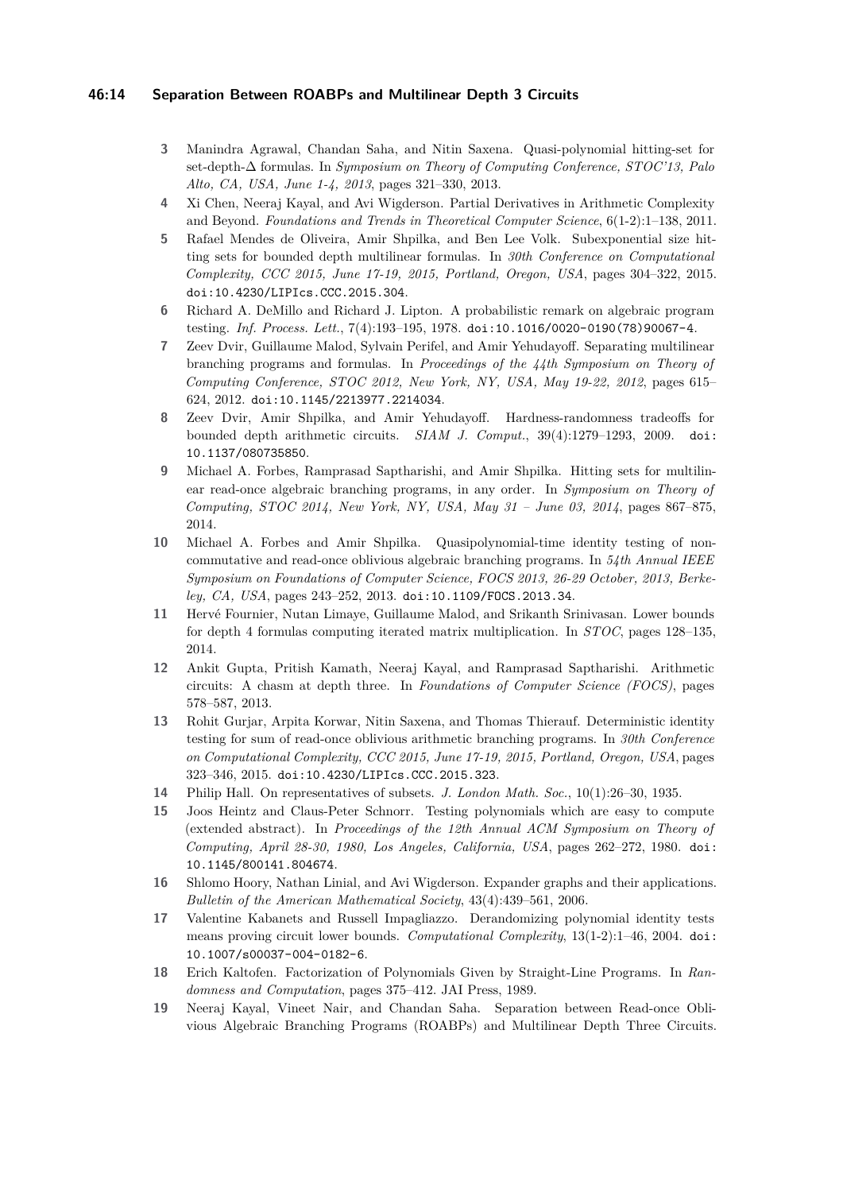## **46:14 Separation Between ROABPs and Multilinear Depth 3 Circuits**

- <span id="page-13-11"></span>**3** Manindra Agrawal, Chandan Saha, and Nitin Saxena. Quasi-polynomial hitting-set for set-depth-∆ formulas. In *Symposium on Theory of Computing Conference, STOC'13, Palo Alto, CA, USA, June 1-4, 2013*, pages 321–330, 2013.
- <span id="page-13-6"></span>**4** Xi Chen, Neeraj Kayal, and Avi Wigderson. Partial Derivatives in Arithmetic Complexity and Beyond. *Foundations and Trends in Theoretical Computer Science*, 6(1-2):1–138, 2011.
- <span id="page-13-8"></span>**5** Rafael Mendes de Oliveira, Amir Shpilka, and Ben Lee Volk. Subexponential size hitting sets for bounded depth multilinear formulas. In *30th Conference on Computational Complexity, CCC 2015, June 17-19, 2015, Portland, Oregon, USA*, pages 304–322, 2015. [doi:10.4230/LIPIcs.CCC.2015.304](http://dx.doi.org/10.4230/LIPIcs.CCC.2015.304).
- <span id="page-13-0"></span>**6** Richard A. DeMillo and Richard J. Lipton. A probabilistic remark on algebraic program testing. *Inf. Process. Lett.*, 7(4):193–195, 1978. [doi:10.1016/0020-0190\(78\)90067-4](http://dx.doi.org/10.1016/0020-0190(78)90067-4).
- <span id="page-13-7"></span>**7** Zeev Dvir, Guillaume Malod, Sylvain Perifel, and Amir Yehudayoff. Separating multilinear branching programs and formulas. In *Proceedings of the 44th Symposium on Theory of Computing Conference, STOC 2012, New York, NY, USA, May 19-22, 2012*, pages 615– 624, 2012. [doi:10.1145/2213977.2214034](http://dx.doi.org/10.1145/2213977.2214034).
- <span id="page-13-4"></span>**8** Zeev Dvir, Amir Shpilka, and Amir Yehudayoff. Hardness-randomness tradeoffs for bounded depth arithmetic circuits. *SIAM J. Comput.*, 39(4):1279–1293, 2009. [doi:](http://dx.doi.org/10.1137/080735850) [10.1137/080735850](http://dx.doi.org/10.1137/080735850).
- <span id="page-13-10"></span>**9** Michael A. Forbes, Ramprasad Saptharishi, and Amir Shpilka. Hitting sets for multilinear read-once algebraic branching programs, in any order. In *Symposium on Theory of Computing, STOC 2014, New York, NY, USA, May 31 – June 03, 2014*, pages 867–875, 2014.
- <span id="page-13-9"></span>**10** Michael A. Forbes and Amir Shpilka. Quasipolynomial-time identity testing of noncommutative and read-once oblivious algebraic branching programs. In *54th Annual IEEE Symposium on Foundations of Computer Science, FOCS 2013, 26-29 October, 2013, Berkeley, CA, USA*, pages 243–252, 2013. [doi:10.1109/FOCS.2013.34](http://dx.doi.org/10.1109/FOCS.2013.34).
- <span id="page-13-12"></span>**11** Hervé Fournier, Nutan Limaye, Guillaume Malod, and Srikanth Srinivasan. Lower bounds for depth 4 formulas computing iterated matrix multiplication. In *STOC*, pages 128–135, 2014.
- <span id="page-13-5"></span>**12** Ankit Gupta, Pritish Kamath, Neeraj Kayal, and Ramprasad Saptharishi. Arithmetic circuits: A chasm at depth three. In *Foundations of Computer Science (FOCS)*, pages 578–587, 2013.
- <span id="page-13-14"></span>**13** Rohit Gurjar, Arpita Korwar, Nitin Saxena, and Thomas Thierauf. Deterministic identity testing for sum of read-once oblivious arithmetic branching programs. In *30th Conference on Computational Complexity, CCC 2015, June 17-19, 2015, Portland, Oregon, USA*, pages 323–346, 2015. [doi:10.4230/LIPIcs.CCC.2015.323](http://dx.doi.org/10.4230/LIPIcs.CCC.2015.323).
- <span id="page-13-16"></span>**14** Philip Hall. On representatives of subsets. *J. London Math. Soc.*, 10(1):26–30, 1935.
- <span id="page-13-2"></span>**15** Joos Heintz and Claus-Peter Schnorr. Testing polynomials which are easy to compute (extended abstract). In *Proceedings of the 12th Annual ACM Symposium on Theory of Computing, April 28-30, 1980, Los Angeles, California, USA*, pages 262–272, 1980. [doi:](http://dx.doi.org/10.1145/800141.804674) [10.1145/800141.804674](http://dx.doi.org/10.1145/800141.804674).
- <span id="page-13-15"></span>**16** Shlomo Hoory, Nathan Linial, and Avi Wigderson. Expander graphs and their applications. *Bulletin of the American Mathematical Society*, 43(4):439–561, 2006.
- <span id="page-13-1"></span>**17** Valentine Kabanets and Russell Impagliazzo. Derandomizing polynomial identity tests means proving circuit lower bounds. *Computational Complexity*, 13(1-2):1–46, 2004. [doi:](http://dx.doi.org/10.1007/s00037-004-0182-6) [10.1007/s00037-004-0182-6](http://dx.doi.org/10.1007/s00037-004-0182-6).
- <span id="page-13-3"></span>**18** Erich Kaltofen. Factorization of Polynomials Given by Straight-Line Programs. In *Randomness and Computation*, pages 375–412. JAI Press, 1989.
- <span id="page-13-13"></span>**19** Neeraj Kayal, Vineet Nair, and Chandan Saha. Separation between Read-once Oblivious Algebraic Branching Programs (ROABPs) and Multilinear Depth Three Circuits.